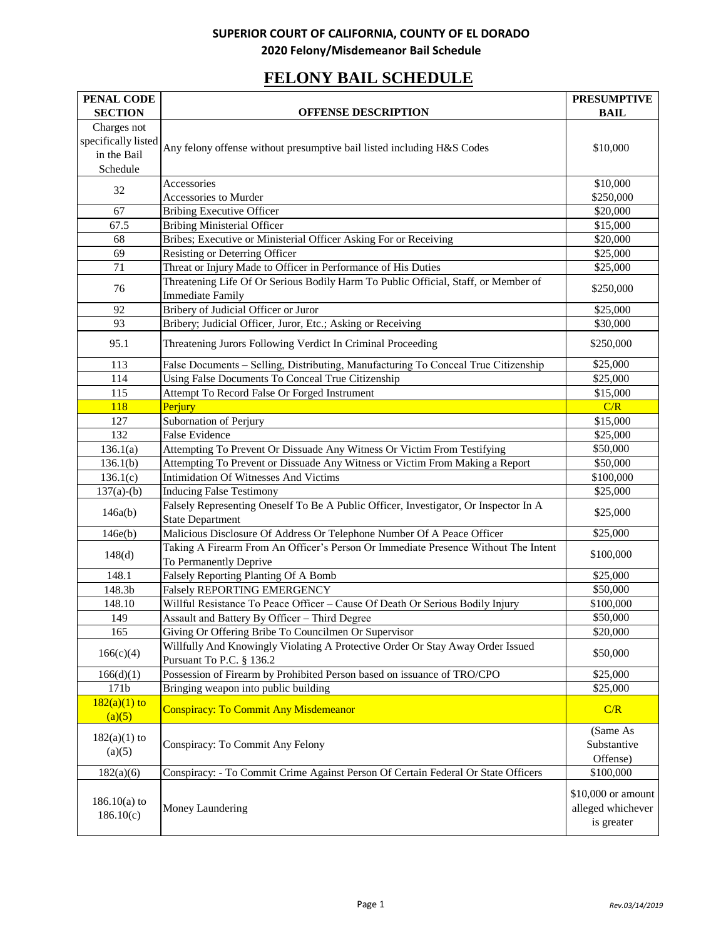# **FELONY BAIL SCHEDULE**

| PENAL CODE                  |                                                                                                                 | <b>PRESUMPTIVE</b>                                    |
|-----------------------------|-----------------------------------------------------------------------------------------------------------------|-------------------------------------------------------|
| <b>SECTION</b>              | <b>OFFENSE DESCRIPTION</b>                                                                                      | <b>BAIL</b>                                           |
| Charges not                 |                                                                                                                 |                                                       |
| specifically listed         | Any felony offense without presumptive bail listed including H&S Codes                                          | \$10,000                                              |
| in the Bail                 |                                                                                                                 |                                                       |
| Schedule                    |                                                                                                                 |                                                       |
| 32                          | Accessories                                                                                                     | \$10,000                                              |
|                             | Accessories to Murder                                                                                           | \$250,000                                             |
| 67                          | <b>Bribing Executive Officer</b>                                                                                | \$20,000                                              |
| 67.5                        | <b>Bribing Ministerial Officer</b>                                                                              | \$15,000                                              |
| 68                          | Bribes; Executive or Ministerial Officer Asking For or Receiving                                                | \$20,000                                              |
| 69                          | Resisting or Deterring Officer                                                                                  | $\overline{$}25,000$                                  |
| 71                          | Threat or Injury Made to Officer in Performance of His Duties                                                   | \$25,000                                              |
| 76                          | Threatening Life Of Or Serious Bodily Harm To Public Official, Staff, or Member of                              | \$250,000                                             |
|                             | <b>Immediate Family</b>                                                                                         |                                                       |
| 92                          | Bribery of Judicial Officer or Juror                                                                            | \$25,000                                              |
| 93                          | Bribery; Judicial Officer, Juror, Etc.; Asking or Receiving                                                     | \$30,000                                              |
| 95.1                        | Threatening Jurors Following Verdict In Criminal Proceeding                                                     | \$250,000                                             |
| 113                         | False Documents - Selling, Distributing, Manufacturing To Conceal True Citizenship                              | \$25,000                                              |
| 114                         | Using False Documents To Conceal True Citizenship                                                               | \$25,000                                              |
| 115                         | Attempt To Record False Or Forged Instrument                                                                    | \$15,000                                              |
| 118                         | Perjury                                                                                                         | C/R                                                   |
| 127                         | Subornation of Perjury                                                                                          | \$15,000                                              |
| 132                         | <b>False Evidence</b>                                                                                           | \$25,000                                              |
| 136.1(a)                    | Attempting To Prevent Or Dissuade Any Witness Or Victim From Testifying                                         | \$50,000                                              |
| 136.1(b)                    | Attempting To Prevent or Dissuade Any Witness or Victim From Making a Report                                    | \$50,000                                              |
| 136.1(c)                    | <b>Intimidation Of Witnesses And Victims</b>                                                                    | \$100,000                                             |
| $137(a)-(b)$                | <b>Inducing False Testimony</b>                                                                                 | \$25,000                                              |
| 146a(b)                     | Falsely Representing Oneself To Be A Public Officer, Investigator, Or Inspector In A<br><b>State Department</b> | \$25,000                                              |
| 146e(b)                     | Malicious Disclosure Of Address Or Telephone Number Of A Peace Officer                                          | \$25,000                                              |
|                             | Taking A Firearm From An Officer's Person Or Immediate Presence Without The Intent                              |                                                       |
| 148(d)                      | To Permanently Deprive                                                                                          | \$100,000                                             |
| 148.1                       | Falsely Reporting Planting Of A Bomb                                                                            | \$25,000                                              |
| 148.3b                      | <b>Falsely REPORTING EMERGENCY</b>                                                                              | \$50,000                                              |
| 148.10                      | Willful Resistance To Peace Officer - Cause Of Death Or Serious Bodily Injury                                   | \$100,000                                             |
| 149                         | Assault and Battery By Officer - Third Degree                                                                   | \$50,000                                              |
| 165                         | Giving Or Offering Bribe To Councilmen Or Supervisor                                                            | \$20,000                                              |
| 166(c)(4)                   | Willfully And Knowingly Violating A Protective Order Or Stay Away Order Issued<br>Pursuant To P.C. § 136.2      | \$50,000                                              |
| 166(d)(1)                   | Possession of Firearm by Prohibited Person based on issuance of TRO/CPO                                         | \$25,000                                              |
| 171b                        | Bringing weapon into public building                                                                            | \$25,000                                              |
| $182(a)(1)$ to<br>(a)(5)    | <b>Conspiracy: To Commit Any Misdemeanor</b>                                                                    | C/R                                                   |
| $182(a)(1)$ to<br>(a)(5)    | Conspiracy: To Commit Any Felony                                                                                | (Same As<br>Substantive<br>Offense)                   |
| 182(a)(6)                   | Conspiracy: - To Commit Crime Against Person Of Certain Federal Or State Officers                               | \$100,000                                             |
| $186.10(a)$ to<br>186.10(c) | Money Laundering                                                                                                | \$10,000 or amount<br>alleged whichever<br>is greater |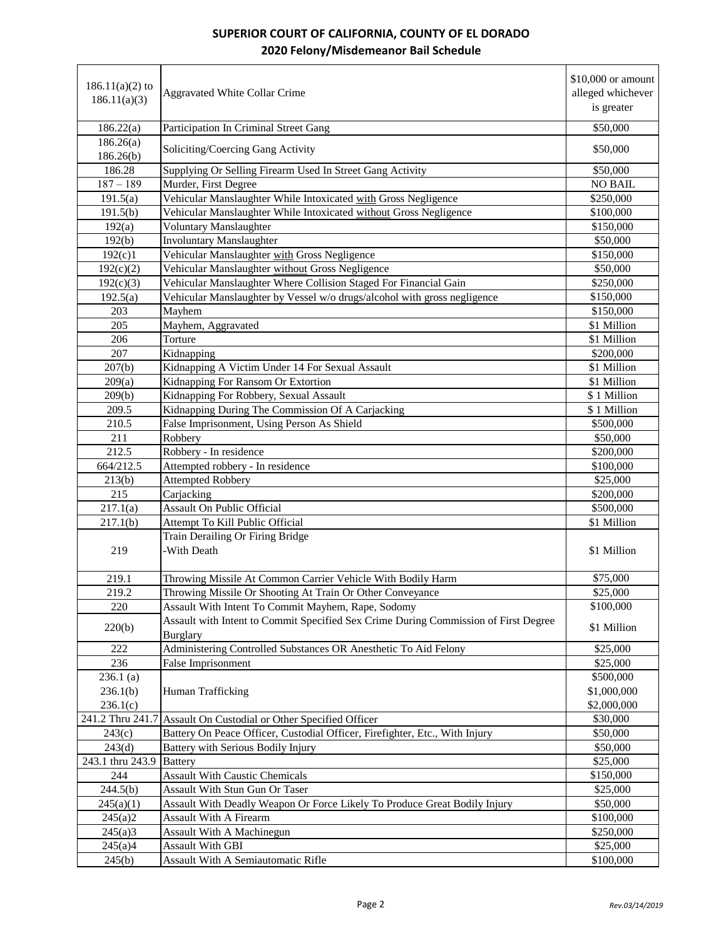| $186.11(a)(2)$ to<br>186.11(a)(3) | <b>Aggravated White Collar Crime</b>                                                | $$10,000$ or amount<br>alleged whichever<br>is greater |
|-----------------------------------|-------------------------------------------------------------------------------------|--------------------------------------------------------|
| 186.22(a)                         | Participation In Criminal Street Gang                                               | \$50,000                                               |
| 186.26(a)<br>186.26(b)            | Soliciting/Coercing Gang Activity                                                   | \$50,000                                               |
| 186.28                            | Supplying Or Selling Firearm Used In Street Gang Activity                           | \$50,000                                               |
| $187 - 189$                       | Murder, First Degree                                                                | <b>NO BAIL</b>                                         |
| 191.5(a)                          | Vehicular Manslaughter While Intoxicated with Gross Negligence                      | \$250,000                                              |
| 191.5(b)                          | Vehicular Manslaughter While Intoxicated without Gross Negligence                   | \$100,000                                              |
| 192(a)                            | <b>Voluntary Manslaughter</b>                                                       | \$150,000                                              |
| 192(b)                            | <b>Involuntary Manslaughter</b>                                                     | \$50,000                                               |
| 192(c)1                           | Vehicular Manslaughter with Gross Negligence                                        | \$150,000                                              |
| 192(c)(2)                         | Vehicular Manslaughter without Gross Negligence                                     | \$50,000                                               |
| 192(c)(3)                         | Vehicular Manslaughter Where Collision Staged For Financial Gain                    | \$250,000                                              |
| 192.5(a)                          | Vehicular Manslaughter by Vessel w/o drugs/alcohol with gross negligence            | \$150,000                                              |
| 203                               | Mayhem                                                                              | \$150,000                                              |
| 205                               | Mayhem, Aggravated                                                                  | \$1 Million                                            |
| 206                               | Torture                                                                             | \$1 Million                                            |
| 207                               | Kidnapping                                                                          | \$200,000                                              |
| 207(b)                            | Kidnapping A Victim Under 14 For Sexual Assault                                     | \$1 Million                                            |
| 209(a)                            | Kidnapping For Ransom Or Extortion                                                  | \$1 Million                                            |
| 209(b)                            | Kidnapping For Robbery, Sexual Assault                                              | \$1 Million                                            |
| 209.5                             | Kidnapping During The Commission Of A Carjacking                                    | \$1 Million                                            |
| 210.5                             | False Imprisonment, Using Person As Shield                                          | \$500,000                                              |
| 211                               | Robbery                                                                             | \$50,000                                               |
| 212.5                             | Robbery - In residence                                                              | \$200,000                                              |
| 664/212.5                         | Attempted robbery - In residence                                                    | \$100,000                                              |
| 213(b)                            | <b>Attempted Robbery</b>                                                            | \$25,000                                               |
| 215                               | Carjacking                                                                          | \$200,000                                              |
| 217.1(a)                          | <b>Assault On Public Official</b>                                                   | \$500,000<br>\$1 Million                               |
| 217.1(b)                          | Attempt To Kill Public Official<br>Train Derailing Or Firing Bridge                 |                                                        |
| 219                               | -With Death                                                                         | \$1 Million                                            |
|                                   |                                                                                     |                                                        |
| 219.1                             | Throwing Missile At Common Carrier Vehicle With Bodily Harm                         | \$75,000                                               |
| 219.2                             | Throwing Missile Or Shooting At Train Or Other Conveyance                           | \$25,000                                               |
| 220                               | Assault With Intent To Commit Mayhem, Rape, Sodomy                                  | \$100,000                                              |
| 220(b)                            | Assault with Intent to Commit Specified Sex Crime During Commission of First Degree | \$1 Million                                            |
|                                   | <b>Burglary</b>                                                                     |                                                        |
| 222                               | Administering Controlled Substances OR Anesthetic To Aid Felony                     | \$25,000                                               |
| 236                               | <b>False Imprisonment</b>                                                           | \$25,000                                               |
| 236.1(a)                          |                                                                                     | \$500,000                                              |
| 236.1(b)                          | Human Trafficking                                                                   | \$1,000,000                                            |
| 236.1(c)                          |                                                                                     | \$2,000,000                                            |
|                                   | 241.2 Thru 241.7 Assault On Custodial or Other Specified Officer                    | \$30,000                                               |
| 243(c)                            | Battery On Peace Officer, Custodial Officer, Firefighter, Etc., With Injury         | \$50,000                                               |
| 243(d)                            | Battery with Serious Bodily Injury                                                  | \$50,000                                               |
| 243.1 thru 243.9                  | <b>Battery</b>                                                                      | \$25,000                                               |
| 244                               | <b>Assault With Caustic Chemicals</b>                                               | \$150,000                                              |
| 244.5(b)                          | Assault With Stun Gun Or Taser                                                      | \$25,000                                               |
| 245(a)(1)                         | Assault With Deadly Weapon Or Force Likely To Produce Great Bodily Injury           | \$50,000                                               |
| 245(a)2                           | Assault With A Firearm                                                              | \$100,000                                              |
| 245(a)3                           | <b>Assault With A Machinegun</b>                                                    | \$250,000                                              |
| 245(a)4                           | <b>Assault With GBI</b>                                                             | \$25,000                                               |
| 245(b)                            | Assault With A Semiautomatic Rifle                                                  | \$100,000                                              |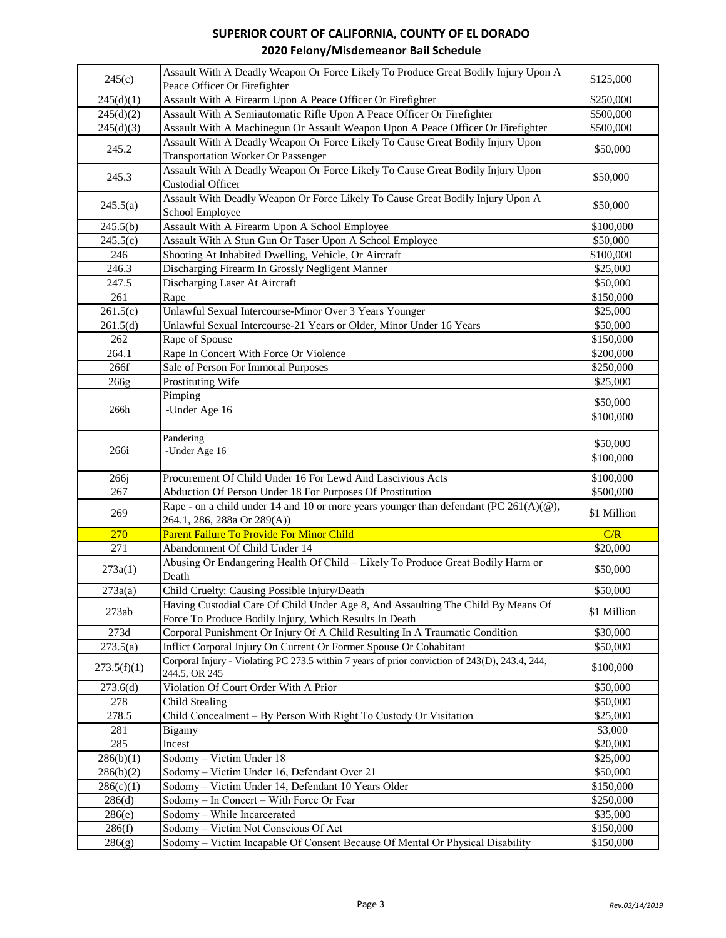| 245(c)           | Assault With A Deadly Weapon Or Force Likely To Produce Great Bodily Injury Upon A                                      | \$125,000              |
|------------------|-------------------------------------------------------------------------------------------------------------------------|------------------------|
|                  | Peace Officer Or Firefighter                                                                                            |                        |
| 245(d)(1)        | Assault With A Firearm Upon A Peace Officer Or Firefighter                                                              | \$250,000              |
| 245(d)(2)        | Assault With A Semiautomatic Rifle Upon A Peace Officer Or Firefighter                                                  | \$500,000              |
| 245(d)(3)        | Assault With A Machinegun Or Assault Weapon Upon A Peace Officer Or Firefighter                                         | \$500,000              |
| 245.2            | Assault With A Deadly Weapon Or Force Likely To Cause Great Bodily Injury Upon                                          | \$50,000               |
|                  | <b>Transportation Worker Or Passenger</b>                                                                               |                        |
| 245.3            | Assault With A Deadly Weapon Or Force Likely To Cause Great Bodily Injury Upon<br><b>Custodial Officer</b>              | \$50,000               |
| 245.5(a)         | Assault With Deadly Weapon Or Force Likely To Cause Great Bodily Injury Upon A<br>School Employee                       | \$50,000               |
| 245.5(b)         | Assault With A Firearm Upon A School Employee                                                                           | \$100,000              |
| 245.5(c)         | Assault With A Stun Gun Or Taser Upon A School Employee                                                                 | \$50,000               |
| 246              | Shooting At Inhabited Dwelling, Vehicle, Or Aircraft                                                                    | \$100,000              |
| 246.3            | Discharging Firearm In Grossly Negligent Manner                                                                         | \$25,000               |
| 247.5            | Discharging Laser At Aircraft                                                                                           | \$50,000               |
| 261              | Rape                                                                                                                    | \$150,000              |
| 261.5(c)         | Unlawful Sexual Intercourse-Minor Over 3 Years Younger                                                                  | \$25,000               |
| 261.5(d)         | Unlawful Sexual Intercourse-21 Years or Older, Minor Under 16 Years                                                     | \$50,000               |
| 262              | Rape of Spouse                                                                                                          | \$150,000              |
| 264.1            |                                                                                                                         |                        |
|                  | Rape In Concert With Force Or Violence                                                                                  | \$200,000              |
| 266f             | Sale of Person For Immoral Purposes                                                                                     | \$250,000              |
| 266g             | Prostituting Wife                                                                                                       | \$25,000               |
|                  | Pimping                                                                                                                 | \$50,000               |
| 266h             | -Under Age 16                                                                                                           | \$100,000              |
|                  |                                                                                                                         |                        |
|                  | Pandering                                                                                                               | \$50,000               |
| 266i             | -Under Age 16                                                                                                           | \$100,000              |
|                  |                                                                                                                         |                        |
| 266j             | Procurement Of Child Under 16 For Lewd And Lascivious Acts                                                              | \$100,000              |
| 267              | Abduction Of Person Under 18 For Purposes Of Prostitution                                                               | \$500,000              |
| 269              | Rape - on a child under 14 and 10 or more years younger than defendant (PC $261(A)(@)$ ,<br>264.1, 286, 288a Or 289(A)) | \$1 Million            |
| 270              | Parent Failure To Provide For Minor Child                                                                               | C/R                    |
| 271              | Abandonment Of Child Under 14                                                                                           | \$20,000               |
|                  | Abusing Or Endangering Health Of Child - Likely To Produce Great Bodily Harm or                                         |                        |
| 273a(1)          | Death                                                                                                                   | \$50,000               |
| 273a(a)          | Child Cruelty: Causing Possible Injury/Death                                                                            | \$50,000               |
|                  | Having Custodial Care Of Child Under Age 8, And Assaulting The Child By Means Of                                        |                        |
| 273ab            | Force To Produce Bodily Injury, Which Results In Death                                                                  | \$1 Million            |
| 273d             | Corporal Punishment Or Injury Of A Child Resulting In A Traumatic Condition                                             | \$30,000               |
| 273.5(a)         | Inflict Corporal Injury On Current Or Former Spouse Or Cohabitant                                                       | \$50,000               |
| 273.5(f)(1)      | Corporal Injury - Violating PC 273.5 within 7 years of prior conviction of 243(D), 243.4, 244,                          | \$100,000              |
|                  | 244.5, OR 245                                                                                                           |                        |
| 273.6(d)         |                                                                                                                         |                        |
| 278              | Violation Of Court Order With A Prior                                                                                   | \$50,000               |
|                  | <b>Child Stealing</b>                                                                                                   | \$50,000               |
| 278.5            | Child Concealment - By Person With Right To Custody Or Visitation                                                       | \$25,000               |
| 281              | <b>Bigamy</b>                                                                                                           | \$3,000                |
| 285              | Incest                                                                                                                  | \$20,000               |
| 286(b)(1)        | Sodomy - Victim Under 18                                                                                                | \$25,000               |
| 286(b)(2)        | Sodomy - Victim Under 16, Defendant Over 21                                                                             | \$50,000               |
| 286(c)(1)        | Sodomy - Victim Under 14, Defendant 10 Years Older                                                                      | \$150,000              |
|                  |                                                                                                                         | \$250,000              |
| 286(d)           | Sodomy - In Concert - With Force Or Fear<br>Sodomy - While Incarcerated                                                 | \$35,000               |
| 286(e)           |                                                                                                                         |                        |
| 286(f)<br>286(g) | Sodomy - Victim Not Conscious Of Act<br>Sodomy - Victim Incapable Of Consent Because Of Mental Or Physical Disability   | \$150,000<br>\$150,000 |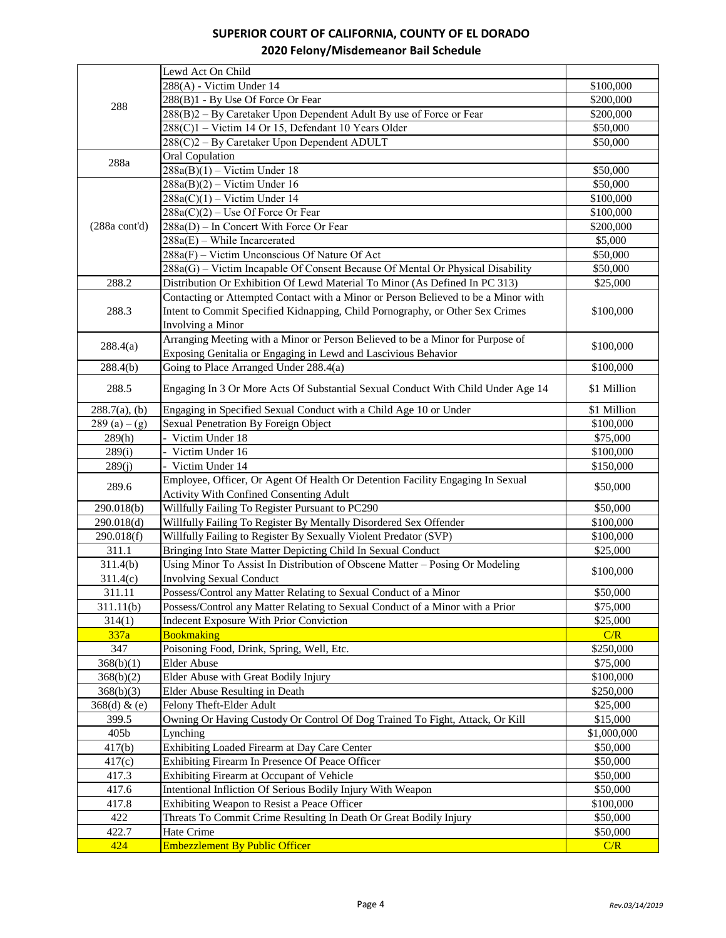|                         | Lewd Act On Child                                                                                                |                      |
|-------------------------|------------------------------------------------------------------------------------------------------------------|----------------------|
|                         | 288(A) - Victim Under 14                                                                                         | \$100,000            |
|                         | 288(B)1 - By Use Of Force Or Fear                                                                                | \$200,000            |
| 288                     | 288(B)2 - By Caretaker Upon Dependent Adult By use of Force or Fear                                              | \$200,000            |
|                         | 288(C)1 - Victim 14 Or 15, Defendant 10 Years Older                                                              | \$50,000             |
|                         | 288(C)2 - By Caretaker Upon Dependent ADULT                                                                      | \$50,000             |
|                         | <b>Oral Copulation</b>                                                                                           |                      |
| 288a                    | $288a(B)(1) - \sqrt{\text{ictim Under }18}$                                                                      | \$50,000             |
|                         | $288a(B)(2) - Victim Under 16$                                                                                   | \$50,000             |
|                         | $288a(C)(1) - Victim Under 14$                                                                                   | \$100,000            |
|                         | $288a(C)(2)$ – Use Of Force Or Fear                                                                              | \$100,000            |
| $(288a \text{ cont'd})$ | $288a(D)$ – In Concert With Force Or Fear                                                                        | \$200,000            |
|                         | $288a(E)$ – While Incarcerated                                                                                   | \$5,000              |
|                         | 288a(F) - Victim Unconscious Of Nature Of Act                                                                    | \$50,000             |
|                         | 288a(G) – Victim Incapable Of Consent Because Of Mental Or Physical Disability                                   | \$50,000             |
| 288.2                   |                                                                                                                  |                      |
|                         | Distribution Or Exhibition Of Lewd Material To Minor (As Defined In PC 313)                                      | \$25,000             |
|                         | Contacting or Attempted Contact with a Minor or Person Believed to be a Minor with                               |                      |
| 288.3                   | Intent to Commit Specified Kidnapping, Child Pornography, or Other Sex Crimes                                    | \$100,000            |
|                         | Involving a Minor                                                                                                |                      |
| 288.4(a)                | Arranging Meeting with a Minor or Person Believed to be a Minor for Purpose of                                   | \$100,000            |
|                         | Exposing Genitalia or Engaging in Lewd and Lascivious Behavior                                                   |                      |
| 288.4(b)                | Going to Place Arranged Under 288.4(a)                                                                           | \$100,000            |
| 288.5                   | Engaging In 3 Or More Acts Of Substantial Sexual Conduct With Child Under Age 14                                 | \$1 Million          |
| $288.7(a)$ , (b)        | Engaging in Specified Sexual Conduct with a Child Age 10 or Under                                                | \$1 Million          |
| $289(a) - (g)$          | Sexual Penetration By Foreign Object                                                                             | \$100,000            |
| 289(h)                  | Victim Under 18                                                                                                  | \$75,000             |
| 289(i)                  | Victim Under 16                                                                                                  | \$100,000            |
| 289(j)                  | - Victim Under 14                                                                                                | \$150,000            |
|                         | Employee, Officer, Or Agent Of Health Or Detention Facility Engaging In Sexual                                   |                      |
| 289.6                   | <b>Activity With Confined Consenting Adult</b>                                                                   | \$50,000             |
| 290.018(b)              | Willfully Failing To Register Pursuant to PC290                                                                  | \$50,000             |
| 290.018(d)              | Willfully Failing To Register By Mentally Disordered Sex Offender                                                | \$100,000            |
| 290.018(f)              | Willfully Failing to Register By Sexually Violent Predator (SVP)                                                 | \$100,000            |
| 311.1                   | Bringing Into State Matter Depicting Child In Sexual Conduct                                                     | \$25,000             |
| 311.4(b)                | Using Minor To Assist In Distribution of Obscene Matter - Posing Or Modeling                                     |                      |
| 311.4(c)                | <b>Involving Sexual Conduct</b>                                                                                  | \$100,000            |
| 311.11                  | Possess/Control any Matter Relating to Sexual Conduct of a Minor                                                 | \$50,000             |
| 311.11(b)               | Possess/Control any Matter Relating to Sexual Conduct of a Minor with a Prior                                    | \$75,000             |
| 314(1)                  | <b>Indecent Exposure With Prior Conviction</b>                                                                   | \$25,000             |
| 337a                    | <b>Bookmaking</b>                                                                                                | C/R                  |
| 347                     | Poisoning Food, Drink, Spring, Well, Etc.                                                                        | \$250,000            |
| 368(b)(1)               | <b>Elder Abuse</b>                                                                                               | \$75,000             |
| 368(b)(2)               | Elder Abuse with Great Bodily Injury                                                                             | \$100,000            |
| 368(b)(3)               | Elder Abuse Resulting in Death                                                                                   | \$250,000            |
| 368(d) & (e)            | Felony Theft-Elder Adult                                                                                         | \$25,000             |
| 399.5                   | Owning Or Having Custody Or Control Of Dog Trained To Fight, Attack, Or Kill                                     | \$15,000             |
| 405b                    | Lynching                                                                                                         | \$1,000,000          |
| 417(b)                  | Exhibiting Loaded Firearm at Day Care Center                                                                     | \$50,000             |
| 417(c)                  | Exhibiting Firearm In Presence Of Peace Officer                                                                  | \$50,000             |
| 417.3                   | Exhibiting Firearm at Occupant of Vehicle                                                                        | \$50,000             |
| 417.6                   | Intentional Infliction Of Serious Bodily Injury With Weapon                                                      | \$50,000             |
|                         |                                                                                                                  |                      |
| 417.8<br>422            | Exhibiting Weapon to Resist a Peace Officer<br>Threats To Commit Crime Resulting In Death Or Great Bodily Injury | \$100,000            |
| 422.7                   | Hate Crime                                                                                                       | \$50,000<br>\$50,000 |
| 424                     | <b>Embezzlement By Public Officer</b>                                                                            | C/R                  |
|                         |                                                                                                                  |                      |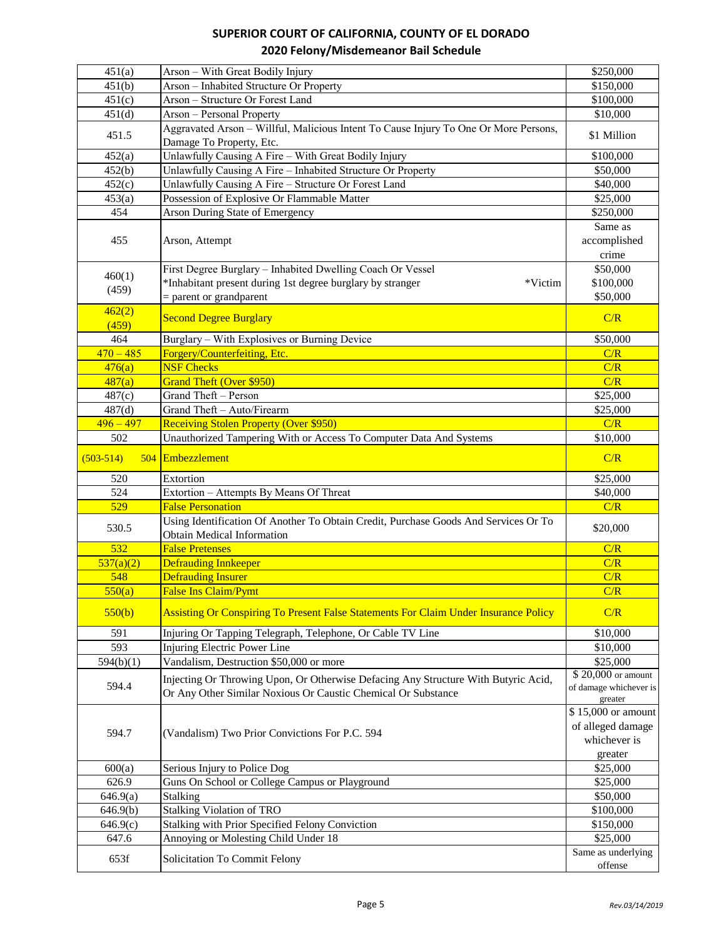| 451(a)           | Arson - With Great Bodily Injury                                                                                         | \$250,000                        |
|------------------|--------------------------------------------------------------------------------------------------------------------------|----------------------------------|
| 451(b)           | Arson - Inhabited Structure Or Property                                                                                  | \$150,000                        |
| 451(c)           | Arson - Structure Or Forest Land                                                                                         | \$100,000                        |
| 451(d)           | Arson - Personal Property                                                                                                | \$10,000                         |
| 451.5            | Aggravated Arson - Willful, Malicious Intent To Cause Injury To One Or More Persons,<br>Damage To Property, Etc.         | \$1 Million                      |
| 452(a)           | Unlawfully Causing A Fire - With Great Bodily Injury                                                                     | \$100,000                        |
| 452(b)           | Unlawfully Causing A Fire - Inhabited Structure Or Property                                                              | \$50,000                         |
| 452(c)           | Unlawfully Causing A Fire - Structure Or Forest Land                                                                     | \$40,000                         |
| 453(a)           | Possession of Explosive Or Flammable Matter                                                                              | \$25,000                         |
| 454              | Arson During State of Emergency                                                                                          | \$250,000                        |
| 455              | Arson, Attempt                                                                                                           | Same as<br>accomplished<br>crime |
|                  | First Degree Burglary - Inhabited Dwelling Coach Or Vessel                                                               | \$50,000                         |
| 460(1)           | *Inhabitant present during 1st degree burglary by stranger<br>*Victim                                                    | \$100,000                        |
| (459)            | $=$ parent or grandparent                                                                                                | \$50,000                         |
| 462(2)<br>(459)  | <b>Second Degree Burglary</b>                                                                                            | C/R                              |
| 464              | Burglary – With Explosives or Burning Device                                                                             | \$50,000                         |
| $470 - 485$      | Forgery/Counterfeiting, Etc.                                                                                             | C/R                              |
| 476(a)           | <b>NSF Checks</b>                                                                                                        | C/R                              |
| 487(a)           | <b>Grand Theft (Over \$950)</b>                                                                                          | C/R                              |
| 487(c)           | Grand Theft - Person                                                                                                     | \$25,000                         |
| 487(d)           | Grand Theft - Auto/Firearm                                                                                               | \$25,000                         |
| $496 - 497$      | <b>Receiving Stolen Property (Over \$950)</b>                                                                            | C/R                              |
| 502              | Unauthorized Tampering With or Access To Computer Data And Systems                                                       | \$10,000                         |
| $(503 - 514)$    | 504 Embezzlement                                                                                                         | C/R                              |
|                  |                                                                                                                          |                                  |
| 520              | Extortion                                                                                                                | \$25,000                         |
| 524              | Extortion - Attempts By Means Of Threat                                                                                  | \$40,000                         |
| 529              | <b>False Personation</b>                                                                                                 | C/R                              |
| 530.5            | Using Identification Of Another To Obtain Credit, Purchase Goods And Services Or To<br><b>Obtain Medical Information</b> | \$20,000                         |
| 532              | <b>False Pretenses</b>                                                                                                   | C/R                              |
| 537(a)(2)        | <b>Defrauding Innkeeper</b>                                                                                              | C/R                              |
| 548              | <b>Defrauding Insurer</b>                                                                                                | C/R                              |
| 550(a)           | <b>False Ins Claim/Pymt</b>                                                                                              | C/R                              |
| 550(b)           | Assisting Or Conspiring To Present False Statements For Claim Under Insurance Policy                                     | C/R                              |
| 591              | Injuring Or Tapping Telegraph, Telephone, Or Cable TV Line                                                               | \$10,000                         |
| $\overline{593}$ | <b>Injuring Electric Power Line</b>                                                                                      | \$10,000                         |
| 594(b)(1)        | Vandalism, Destruction \$50,000 or more                                                                                  | \$25,000                         |
|                  |                                                                                                                          | \$20,000 or amount               |
| 594.4            | Injecting Or Throwing Upon, Or Otherwise Defacing Any Structure With Butyric Acid,                                       | of damage whichever is           |
|                  | Or Any Other Similar Noxious Or Caustic Chemical Or Substance                                                            | greater                          |
|                  |                                                                                                                          | \$15,000 or amount               |
|                  |                                                                                                                          | of alleged damage                |
| 594.7            | (Vandalism) Two Prior Convictions For P.C. 594                                                                           | whichever is                     |
|                  |                                                                                                                          | greater                          |
| 600(a)           | Serious Injury to Police Dog                                                                                             | \$25,000                         |
| 626.9            | Guns On School or College Campus or Playground                                                                           | \$25,000                         |
| 646.9(a)         | Stalking                                                                                                                 | \$50,000                         |
|                  |                                                                                                                          |                                  |
| 646.9(b)         | <b>Stalking Violation of TRO</b>                                                                                         | \$100,000                        |
| 646.9(c)         | Stalking with Prior Specified Felony Conviction                                                                          | \$150,000                        |
| 647.6<br>653f    | Annoying or Molesting Child Under 18<br>Solicitation To Commit Felony                                                    | \$25,000<br>Same as underlying   |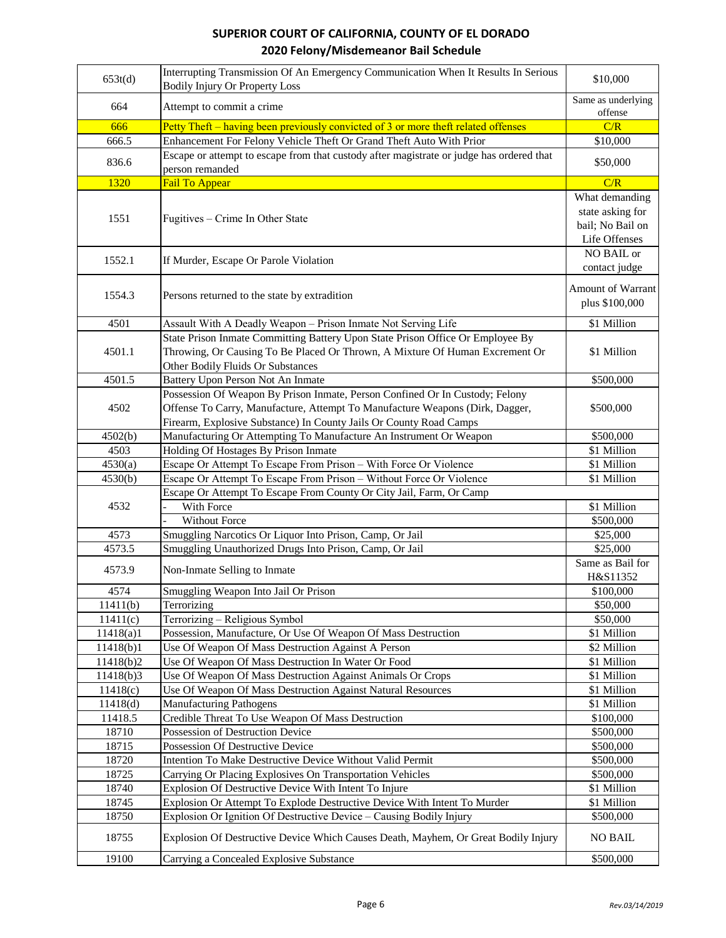| 653t(d)        | Interrupting Transmission Of An Emergency Communication When It Results In Serious<br><b>Bodily Injury Or Property Loss</b>                                                                                                        | \$10,000                                                                |
|----------------|------------------------------------------------------------------------------------------------------------------------------------------------------------------------------------------------------------------------------------|-------------------------------------------------------------------------|
| 664            | Attempt to commit a crime                                                                                                                                                                                                          | Same as underlying<br>offense                                           |
| 666            | Petty Theft – having been previously convicted of 3 or more theft related offenses                                                                                                                                                 | C/R                                                                     |
| 666.5          | Enhancement For Felony Vehicle Theft Or Grand Theft Auto With Prior                                                                                                                                                                | \$10,000                                                                |
| 836.6          | Escape or attempt to escape from that custody after magistrate or judge has ordered that<br>person remanded                                                                                                                        | \$50,000                                                                |
| 1320           | <b>Fail To Appear</b>                                                                                                                                                                                                              | C/R                                                                     |
| 1551           | Fugitives – Crime In Other State                                                                                                                                                                                                   | What demanding<br>state asking for<br>bail; No Bail on<br>Life Offenses |
| 1552.1         | If Murder, Escape Or Parole Violation                                                                                                                                                                                              | NO BAIL or<br>contact judge                                             |
| 1554.3         | Persons returned to the state by extradition                                                                                                                                                                                       | <b>Amount of Warrant</b><br>plus \$100,000                              |
| 4501           | Assault With A Deadly Weapon - Prison Inmate Not Serving Life                                                                                                                                                                      | \$1 Million                                                             |
| 4501.1         | State Prison Inmate Committing Battery Upon State Prison Office Or Employee By<br>Throwing, Or Causing To Be Placed Or Thrown, A Mixture Of Human Excrement Or<br>Other Bodily Fluids Or Substances                                | \$1 Million                                                             |
| 4501.5         | Battery Upon Person Not An Inmate                                                                                                                                                                                                  | \$500,000                                                               |
| 4502           | Possession Of Weapon By Prison Inmate, Person Confined Or In Custody; Felony<br>Offense To Carry, Manufacture, Attempt To Manufacture Weapons (Dirk, Dagger,<br>Firearm, Explosive Substance) In County Jails Or County Road Camps | \$500,000                                                               |
| 4502(b)        | Manufacturing Or Attempting To Manufacture An Instrument Or Weapon                                                                                                                                                                 | \$500,000                                                               |
| 4503           | Holding Of Hostages By Prison Inmate                                                                                                                                                                                               | \$1 Million                                                             |
| 4530(a)        | Escape Or Attempt To Escape From Prison - With Force Or Violence                                                                                                                                                                   | \$1 Million                                                             |
| 4530(b)        | Escape Or Attempt To Escape From Prison - Without Force Or Violence                                                                                                                                                                | \$1 Million                                                             |
|                | Escape Or Attempt To Escape From County Or City Jail, Farm, Or Camp                                                                                                                                                                |                                                                         |
| 4532           | With Force                                                                                                                                                                                                                         | \$1 Million                                                             |
|                | Without Force                                                                                                                                                                                                                      | \$500,000                                                               |
| 4573           | Smuggling Narcotics Or Liquor Into Prison, Camp, Or Jail                                                                                                                                                                           | \$25,000                                                                |
| 4573.5         | Smuggling Unauthorized Drugs Into Prison, Camp, Or Jail                                                                                                                                                                            | \$25,000                                                                |
| 4573.9         | Non-Inmate Selling to Inmate                                                                                                                                                                                                       | Same as Bail for<br>H&S11352                                            |
| 4574           | Smuggling Weapon Into Jail Or Prison                                                                                                                                                                                               | \$100,000                                                               |
| 11411(b)       | Terrorizing                                                                                                                                                                                                                        | \$50,000                                                                |
| 11411(c)       | Terrorizing - Religious Symbol                                                                                                                                                                                                     | \$50,000                                                                |
| 11418(a)1      | Possession, Manufacture, Or Use Of Weapon Of Mass Destruction                                                                                                                                                                      | \$1 Million                                                             |
| 11418(b)1      | Use Of Weapon Of Mass Destruction Against A Person                                                                                                                                                                                 | \$2 Million                                                             |
| 11418(b)2      | Use Of Weapon Of Mass Destruction In Water Or Food                                                                                                                                                                                 | \$1 Million                                                             |
| 11418(b)3      | Use Of Weapon Of Mass Destruction Against Animals Or Crops                                                                                                                                                                         | \$1 Million                                                             |
| 11418(c)       | Use Of Weapon Of Mass Destruction Against Natural Resources                                                                                                                                                                        | \$1 Million                                                             |
| 11418(d)       | <b>Manufacturing Pathogens</b>                                                                                                                                                                                                     | \$1 Million                                                             |
| 11418.5        | Credible Threat To Use Weapon Of Mass Destruction                                                                                                                                                                                  | \$100,000                                                               |
| 18710          | Possession of Destruction Device                                                                                                                                                                                                   | \$500,000                                                               |
| 18715          | Possession Of Destructive Device                                                                                                                                                                                                   | \$500,000                                                               |
| 18720          | Intention To Make Destructive Device Without Valid Permit                                                                                                                                                                          | \$500,000                                                               |
| 18725          | Carrying Or Placing Explosives On Transportation Vehicles                                                                                                                                                                          | \$500,000                                                               |
| 18740          | Explosion Of Destructive Device With Intent To Injure                                                                                                                                                                              | \$1 Million                                                             |
| 18745          | Explosion Or Attempt To Explode Destructive Device With Intent To Murder                                                                                                                                                           | \$1 Million                                                             |
| 18750<br>18755 | Explosion Or Ignition Of Destructive Device - Causing Bodily Injury<br>Explosion Of Destructive Device Which Causes Death, Mayhem, Or Great Bodily Injury                                                                          | \$500,000<br><b>NO BAIL</b>                                             |
| 19100          | Carrying a Concealed Explosive Substance                                                                                                                                                                                           | \$500,000                                                               |
|                |                                                                                                                                                                                                                                    |                                                                         |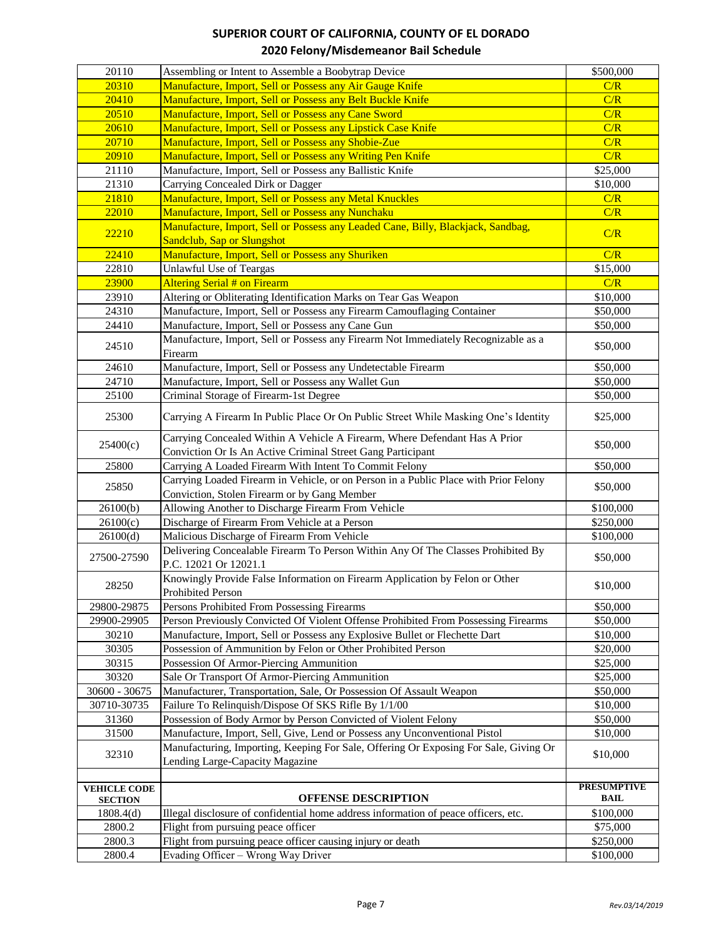| 20110               | Assembling or Intent to Assemble a Boobytrap Device                                                                                       | \$500,000          |
|---------------------|-------------------------------------------------------------------------------------------------------------------------------------------|--------------------|
| 20310               | Manufacture, Import, Sell or Possess any Air Gauge Knife                                                                                  | C/R                |
| 20410               | Manufacture, Import, Sell or Possess any Belt Buckle Knife                                                                                | C/R                |
| 20510               | Manufacture, Import, Sell or Possess any Cane Sword                                                                                       | C/R                |
| 20610               | Manufacture, Import, Sell or Possess any Lipstick Case Knife                                                                              | C/R                |
| 20710               | Manufacture, Import, Sell or Possess any Shobie-Zue                                                                                       | C/R                |
| 20910               | Manufacture, Import, Sell or Possess any Writing Pen Knife                                                                                | C/R                |
| 21110               | Manufacture, Import, Sell or Possess any Ballistic Knife                                                                                  | \$25,000           |
| 21310               | Carrying Concealed Dirk or Dagger                                                                                                         | \$10,000           |
| 21810               | Manufacture, Import, Sell or Possess any Metal Knuckles                                                                                   | C/R                |
| 22010               | Manufacture, Import, Sell or Possess any Nunchaku                                                                                         | C/R                |
| 22210               | Manufacture, Import, Sell or Possess any Leaded Cane, Billy, Blackjack, Sandbag,<br>Sandclub, Sap or Slungshot                            | C/R                |
| 22410               | Manufacture, Import, Sell or Possess any Shuriken                                                                                         | C/R                |
| 22810               | <b>Unlawful Use of Teargas</b>                                                                                                            | \$15,000           |
| 23900               | <b>Altering Serial # on Firearm</b>                                                                                                       | C/R                |
| 23910               | Altering or Obliterating Identification Marks on Tear Gas Weapon                                                                          | \$10,000           |
| 24310               | Manufacture, Import, Sell or Possess any Firearm Camouflaging Container                                                                   | \$50,000           |
| 24410               | Manufacture, Import, Sell or Possess any Cane Gun                                                                                         | \$50,000           |
| 24510               | Manufacture, Import, Sell or Possess any Firearm Not Immediately Recognizable as a<br>Firearm                                             | \$50,000           |
| 24610               | Manufacture, Import, Sell or Possess any Undetectable Firearm                                                                             | \$50,000           |
| 24710               | Manufacture, Import, Sell or Possess any Wallet Gun                                                                                       | \$50,000           |
| 25100               | Criminal Storage of Firearm-1st Degree                                                                                                    | \$50,000           |
| 25300               | Carrying A Firearm In Public Place Or On Public Street While Masking One's Identity                                                       | \$25,000           |
| 25400(c)            | Carrying Concealed Within A Vehicle A Firearm, Where Defendant Has A Prior<br>Conviction Or Is An Active Criminal Street Gang Participant | \$50,000           |
| 25800               | Carrying A Loaded Firearm With Intent To Commit Felony                                                                                    | \$50,000           |
|                     | Carrying Loaded Firearm in Vehicle, or on Person in a Public Place with Prior Felony                                                      |                    |
| 25850               | Conviction, Stolen Firearm or by Gang Member                                                                                              | \$50,000           |
| 26100(b)            | Allowing Another to Discharge Firearm From Vehicle                                                                                        | \$100,000          |
| 26100(c)            | Discharge of Firearm From Vehicle at a Person                                                                                             | \$250,000          |
| 26100(d)            | Malicious Discharge of Firearm From Vehicle                                                                                               | \$100,000          |
| 27500-27590         | Delivering Concealable Firearm To Person Within Any Of The Classes Prohibited By<br>P.C. 12021 Or 12021.1                                 | \$50,000           |
| 28250               | Knowingly Provide False Information on Firearm Application by Felon or Other<br>Prohibited Person                                         | \$10,000           |
| 29800-29875         | Persons Prohibited From Possessing Firearms                                                                                               | \$50,000           |
| 29900-29905         | Person Previously Convicted Of Violent Offense Prohibited From Possessing Firearms                                                        | \$50,000           |
| 30210               | Manufacture, Import, Sell or Possess any Explosive Bullet or Flechette Dart                                                               | \$10,000           |
| 30305               | Possession of Ammunition by Felon or Other Prohibited Person                                                                              | \$20,000           |
| 30315               | Possession Of Armor-Piercing Ammunition                                                                                                   | \$25,000           |
| 30320               | Sale Or Transport Of Armor-Piercing Ammunition                                                                                            | \$25,000           |
| 30600 - 30675       | Manufacturer, Transportation, Sale, Or Possession Of Assault Weapon                                                                       | \$50,000           |
| 30710-30735         | Failure To Relinquish/Dispose Of SKS Rifle By 1/1/00                                                                                      | \$10,000           |
| 31360               | Possession of Body Armor by Person Convicted of Violent Felony                                                                            | \$50,000           |
| 31500               | Manufacture, Import, Sell, Give, Lend or Possess any Unconventional Pistol                                                                | \$10,000           |
| 32310               | Manufacturing, Importing, Keeping For Sale, Offering Or Exposing For Sale, Giving Or<br>Lending Large-Capacity Magazine                   | \$10,000           |
| <b>VEHICLE CODE</b> |                                                                                                                                           | <b>PRESUMPTIVE</b> |
| <b>SECTION</b>      | <b>OFFENSE DESCRIPTION</b>                                                                                                                | <b>BAIL</b>        |
| 1808.4(d)           | Illegal disclosure of confidential home address information of peace officers, etc.                                                       | \$100,000          |
| 2800.2              | Flight from pursuing peace officer                                                                                                        | \$75,000           |
| 2800.3              | Flight from pursuing peace officer causing injury or death                                                                                | \$250,000          |
| 2800.4              | Evading Officer - Wrong Way Driver                                                                                                        | \$100,000          |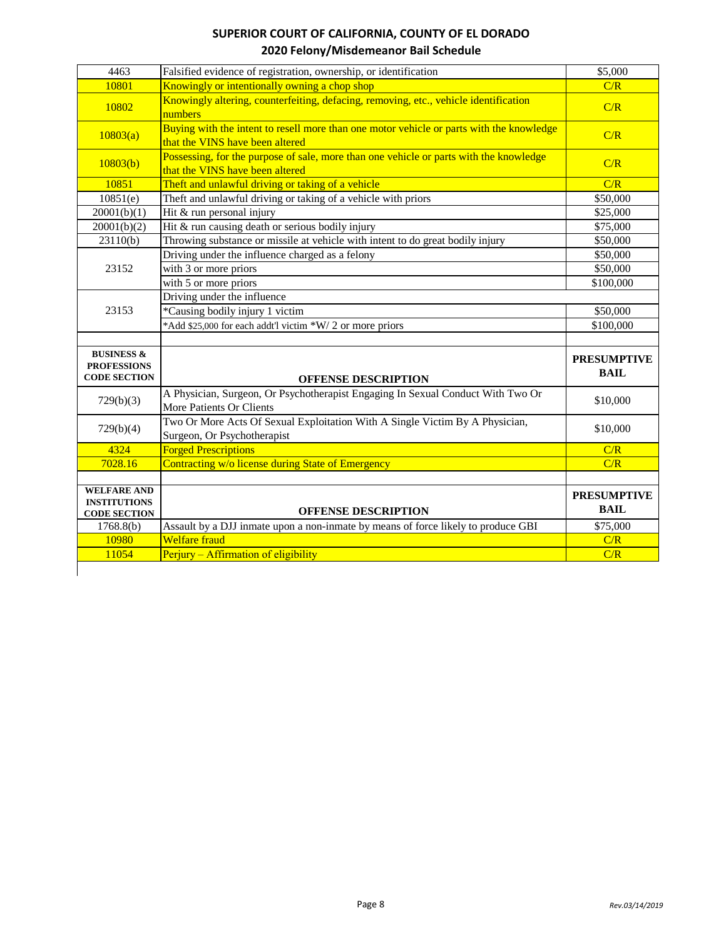| 4463                                                               | Falsified evidence of registration, ownership, or identification                                                            | \$5,000                           |
|--------------------------------------------------------------------|-----------------------------------------------------------------------------------------------------------------------------|-----------------------------------|
| 10801                                                              | Knowingly or intentionally owning a chop shop                                                                               | C/R                               |
| 10802                                                              | Knowingly altering, counterfeiting, defacing, removing, etc., vehicle identification<br>numbers                             | C/R                               |
| 10803(a)                                                           | Buying with the intent to resell more than one motor vehicle or parts with the knowledge<br>that the VINS have been altered | C/R                               |
| 10803(b)                                                           | Possessing, for the purpose of sale, more than one vehicle or parts with the knowledge<br>that the VINS have been altered   | C/R                               |
| 10851                                                              | Theft and unlawful driving or taking of a vehicle                                                                           | C/R                               |
| 10851(e)                                                           | Theft and unlawful driving or taking of a vehicle with priors                                                               | \$50,000                          |
| 20001(b)(1)                                                        | Hit & run personal injury                                                                                                   | \$25,000                          |
| 20001(b)(2)                                                        | Hit & run causing death or serious bodily injury                                                                            | \$75,000                          |
| 23110(b)                                                           | Throwing substance or missile at vehicle with intent to do great bodily injury                                              | \$50,000                          |
|                                                                    | Driving under the influence charged as a felony                                                                             | \$50,000                          |
| 23152                                                              | with 3 or more priors                                                                                                       | \$50,000                          |
|                                                                    | with 5 or more priors                                                                                                       | \$100,000                         |
|                                                                    | Driving under the influence                                                                                                 |                                   |
| 23153                                                              | *Causing bodily injury 1 victim                                                                                             | \$50,000                          |
|                                                                    | *Add \$25,000 for each addt'l victim *W/ 2 or more priors                                                                   | \$100,000                         |
|                                                                    |                                                                                                                             |                                   |
| <b>BUSINESS &amp;</b><br><b>PROFESSIONS</b><br><b>CODE SECTION</b> | <b>OFFENSE DESCRIPTION</b>                                                                                                  | <b>PRESUMPTIVE</b><br><b>BAIL</b> |
| 729(b)(3)                                                          | A Physician, Surgeon, Or Psychotherapist Engaging In Sexual Conduct With Two Or<br>More Patients Or Clients                 | \$10,000                          |
| 729(b)(4)                                                          | Two Or More Acts Of Sexual Exploitation With A Single Victim By A Physician,<br>Surgeon, Or Psychotherapist                 | \$10,000                          |
| 4324                                                               | <b>Forged Prescriptions</b>                                                                                                 | C/R                               |
| 7028.16                                                            | Contracting w/o license during State of Emergency                                                                           | C/R                               |
|                                                                    |                                                                                                                             |                                   |
| <b>WELFARE AND</b>                                                 |                                                                                                                             | <b>PRESUMPTIVE</b>                |
| <b>INSTITUTIONS</b><br><b>CODE SECTION</b>                         | <b>OFFENSE DESCRIPTION</b>                                                                                                  | <b>BAIL</b>                       |
| 1768.8(b)                                                          | Assault by a DJJ inmate upon a non-inmate by means of force likely to produce GBI                                           | \$75,000                          |
| 10980                                                              | <b>Welfare</b> fraud                                                                                                        | C/R                               |
| 11054                                                              | Perjury - Affirmation of eligibility                                                                                        | C/R                               |
|                                                                    |                                                                                                                             |                                   |
|                                                                    |                                                                                                                             |                                   |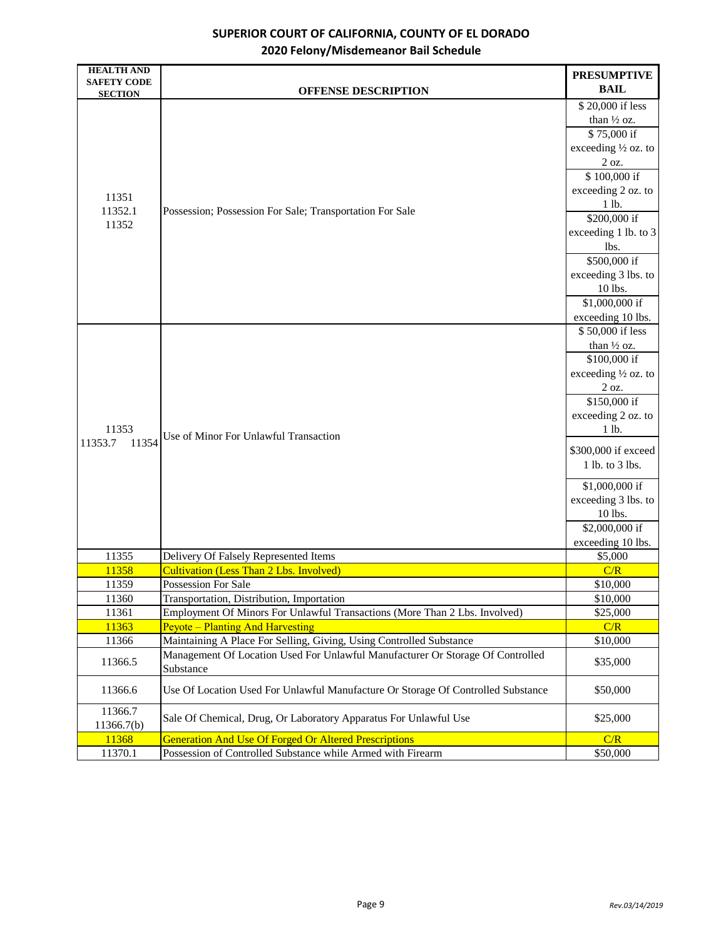| <b>HEALTH AND</b><br><b>SAFETY CODE</b> |                                                                                  | <b>PRESUMPTIVE</b>   |
|-----------------------------------------|----------------------------------------------------------------------------------|----------------------|
| <b>SECTION</b>                          | <b>OFFENSE DESCRIPTION</b>                                                       | <b>BAIL</b>          |
|                                         |                                                                                  | \$20,000 if less     |
|                                         |                                                                                  | than 1/2 oz.         |
|                                         |                                                                                  | \$75,000 if          |
|                                         |                                                                                  | exceeding 1/2 oz. to |
|                                         |                                                                                  | 2 oz.                |
|                                         |                                                                                  | \$100,000 if         |
| 11351                                   |                                                                                  | exceeding 2 oz. to   |
| 11352.1                                 | Possession; Possession For Sale; Transportation For Sale                         | 1 lb.                |
| 11352                                   |                                                                                  | \$200,000 if         |
|                                         |                                                                                  | exceeding 1 lb. to 3 |
|                                         |                                                                                  | lbs.                 |
|                                         |                                                                                  | \$500,000 if         |
|                                         |                                                                                  | exceeding 3 lbs. to  |
|                                         |                                                                                  | 10 lbs.              |
|                                         |                                                                                  | \$1,000,000 if       |
|                                         |                                                                                  | exceeding 10 lbs.    |
|                                         |                                                                                  | \$50,000 if less     |
|                                         |                                                                                  | than 1/2 oz.         |
|                                         |                                                                                  | \$100,000 if         |
|                                         |                                                                                  | exceeding 1/2 oz. to |
|                                         |                                                                                  | 2 oz.                |
|                                         |                                                                                  | \$150,000 if         |
|                                         | Use of Minor For Unlawful Transaction                                            | exceeding 2 oz. to   |
| 11353                                   |                                                                                  | 1 lb.                |
| 11353.7<br>11354                        |                                                                                  |                      |
|                                         |                                                                                  | \$300,000 if exceed  |
|                                         |                                                                                  | 1 lb. to 3 lbs.      |
|                                         |                                                                                  | \$1,000,000 if       |
|                                         |                                                                                  | exceeding 3 lbs. to  |
|                                         |                                                                                  | 10 lbs.              |
|                                         |                                                                                  | \$2,000,000 if       |
|                                         |                                                                                  | exceeding 10 lbs.    |
| 11355                                   | Delivery Of Falsely Represented Items                                            | \$5,000              |
| 11358                                   | <b>Cultivation (Less Than 2 Lbs. Involved)</b>                                   | C/R                  |
| 11359                                   | Possession For Sale                                                              | \$10,000             |
| 11360                                   | Transportation, Distribution, Importation                                        | \$10,000             |
| 11361                                   | Employment Of Minors For Unlawful Transactions (More Than 2 Lbs. Involved)       | \$25,000             |
| 11363                                   | <b>Peyote – Planting And Harvesting</b>                                          | C/R                  |
| 11366                                   | Maintaining A Place For Selling, Giving, Using Controlled Substance              | \$10,000             |
| 11366.5                                 | Management Of Location Used For Unlawful Manufacturer Or Storage Of Controlled   | \$35,000             |
|                                         | Substance                                                                        |                      |
| 11366.6                                 | Use Of Location Used For Unlawful Manufacture Or Storage Of Controlled Substance | \$50,000             |
| 11366.7<br>11366.7(b)                   | Sale Of Chemical, Drug, Or Laboratory Apparatus For Unlawful Use                 | \$25,000             |
| 11368                                   | <b>Generation And Use Of Forged Or Altered Prescriptions</b>                     | C/R                  |
| 11370.1                                 | Possession of Controlled Substance while Armed with Firearm                      | \$50,000             |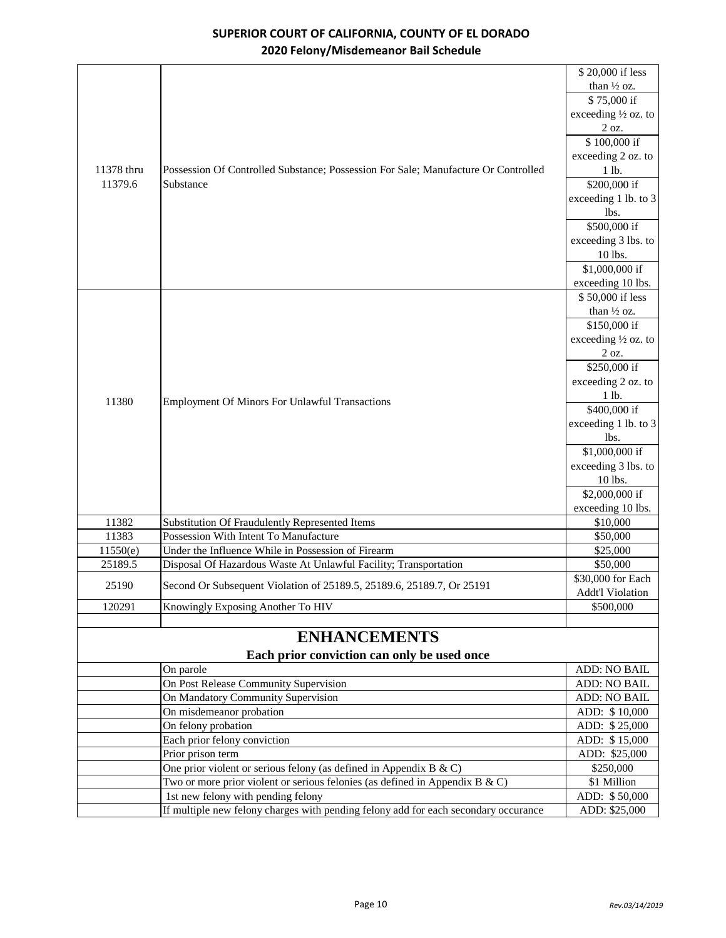|            |                                                                                     | \$20,000 if less               |
|------------|-------------------------------------------------------------------------------------|--------------------------------|
|            |                                                                                     | than 1/2 oz.                   |
|            |                                                                                     | \$75,000 if                    |
|            |                                                                                     | exceeding $\frac{1}{2}$ oz. to |
|            |                                                                                     | 2 oz.                          |
|            |                                                                                     | \$100,000 if                   |
|            |                                                                                     | exceeding 2 oz. to             |
| 11378 thru | Possession Of Controlled Substance; Possession For Sale; Manufacture Or Controlled  | 1 lb.                          |
| 11379.6    | Substance                                                                           | \$200,000 if                   |
|            |                                                                                     | exceeding 1 lb. to 3           |
|            |                                                                                     | lbs.                           |
|            |                                                                                     | \$500,000 if                   |
|            |                                                                                     | exceeding 3 lbs. to            |
|            |                                                                                     | 10 lbs.                        |
|            |                                                                                     | \$1,000,000 if                 |
|            |                                                                                     | exceeding 10 lbs.              |
|            |                                                                                     | \$50,000 if less               |
|            |                                                                                     | than 1/2 oz.                   |
|            |                                                                                     | \$150,000 if                   |
|            |                                                                                     | exceeding 1/2 oz. to           |
|            |                                                                                     | 2 oz.                          |
|            |                                                                                     | \$250,000 if                   |
|            |                                                                                     | exceeding 2 oz. to             |
| 11380      | <b>Employment Of Minors For Unlawful Transactions</b>                               | 1 lb.                          |
|            |                                                                                     | \$400,000 if                   |
|            |                                                                                     | exceeding 1 lb. to 3           |
|            |                                                                                     | lbs.                           |
|            |                                                                                     | \$1,000,000 if                 |
|            |                                                                                     | exceeding 3 lbs. to            |
|            |                                                                                     | 10 lbs.                        |
|            |                                                                                     | \$2,000,000 if                 |
| 11382      | Substitution Of Fraudulently Represented Items                                      | exceeding 10 lbs.<br>\$10,000  |
| 11383      | Possession With Intent To Manufacture                                               | \$50,000                       |
| 11550(e)   | Under the Influence While in Possession of Firearm                                  | \$25,000                       |
| 25189.5    | Disposal Of Hazardous Waste At Unlawful Facility; Transportation                    | \$50,000                       |
|            |                                                                                     | \$30,000 for Each              |
| 25190      | Second Or Subsequent Violation of 25189.5, 25189.6, 25189.7, Or 25191               | <b>Addt'l Violation</b>        |
| 120291     | Knowingly Exposing Another To HIV                                                   | \$500,000                      |
|            |                                                                                     |                                |
|            | <b>ENHANCEMENTS</b>                                                                 |                                |
|            | Each prior conviction can only be used once                                         |                                |
|            | On parole                                                                           | ADD: NO BAIL                   |
|            | On Post Release Community Supervision                                               | <b>ADD: NO BAIL</b>            |
|            | On Mandatory Community Supervision                                                  | ADD: NO BAIL                   |
|            | On misdemeanor probation                                                            | ADD: \$10,000                  |
|            | On felony probation                                                                 | ADD: \$25,000                  |
|            | Each prior felony conviction                                                        | ADD: \$15,000                  |
|            | Prior prison term                                                                   | ADD: \$25,000                  |
|            | One prior violent or serious felony (as defined in Appendix B $\&$ C)               | \$250,000                      |
|            | Two or more prior violent or serious felonies (as defined in Appendix B & C)        | \$1 Million                    |
|            | 1st new felony with pending felony                                                  | ADD: \$50,000                  |
|            | If multiple new felony charges with pending felony add for each secondary occurance | ADD: \$25,000                  |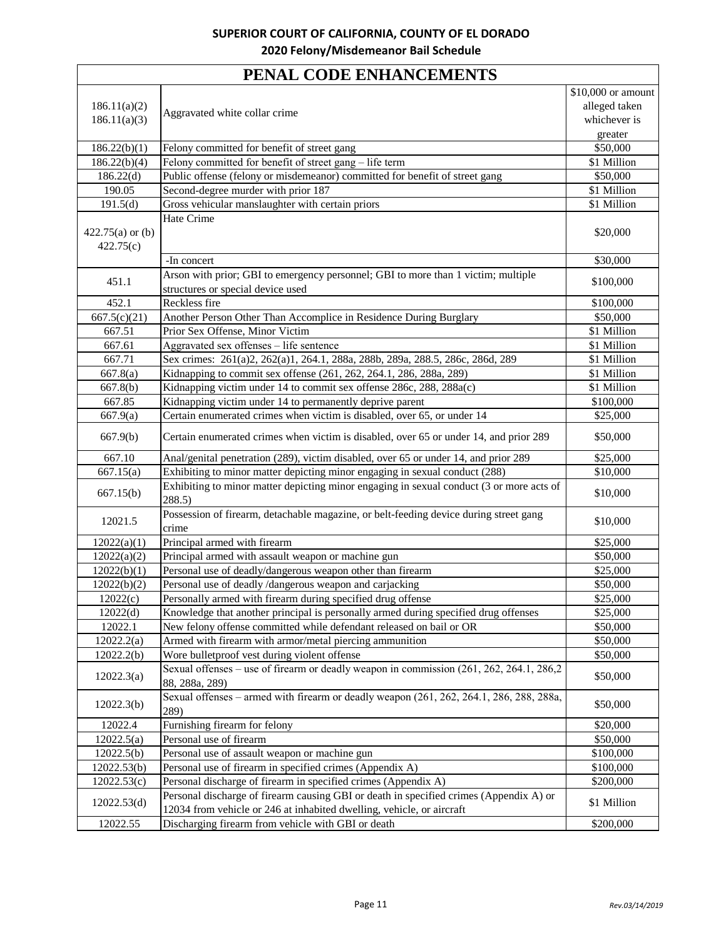# **PENAL CODE ENHANCEMENTS**

|                    |                                                                                                                                                                 | \$10,000 or amount |
|--------------------|-----------------------------------------------------------------------------------------------------------------------------------------------------------------|--------------------|
| 186.11(a)(2)       |                                                                                                                                                                 | alleged taken      |
| 186.11(a)(3)       | Aggravated white collar crime                                                                                                                                   | whichever is       |
|                    |                                                                                                                                                                 | greater            |
| 186.22(b)(1)       | Felony committed for benefit of street gang                                                                                                                     | \$50,000           |
| 186.22(b)(4)       | Felony committed for benefit of street gang - life term                                                                                                         | \$1 Million        |
| 186.22(d)          | Public offense (felony or misdemeanor) committed for benefit of street gang                                                                                     | \$50,000           |
| 190.05             | Second-degree murder with prior 187                                                                                                                             | \$1 Million        |
| 191.5(d)           | Gross vehicular manslaughter with certain priors                                                                                                                | \$1 Million        |
|                    | Hate Crime                                                                                                                                                      |                    |
| $422.75(a)$ or (b) |                                                                                                                                                                 | \$20,000           |
| 422.75(c)          |                                                                                                                                                                 |                    |
|                    | -In concert                                                                                                                                                     | \$30,000           |
| 451.1              | Arson with prior; GBI to emergency personnel; GBI to more than 1 victim; multiple                                                                               | \$100,000          |
|                    | structures or special device used                                                                                                                               |                    |
| 452.1              | Reckless fire                                                                                                                                                   | \$100,000          |
| 667.5(c)(21)       | Another Person Other Than Accomplice in Residence During Burglary                                                                                               | \$50,000           |
| 667.51             | Prior Sex Offense, Minor Victim                                                                                                                                 | \$1 Million        |
| 667.61             | Aggravated sex offenses – life sentence                                                                                                                         | \$1 Million        |
| 667.71             | Sex crimes: 261(a)2, 262(a)1, 264.1, 288a, 288b, 289a, 288.5, 286c, 286d, 289                                                                                   | \$1 Million        |
| 667.8(a)           | Kidnapping to commit sex offense (261, 262, 264.1, 286, 288a, 289)                                                                                              | \$1 Million        |
| 667.8(b)           | Kidnapping victim under 14 to commit sex offense 286c, 288, 288a(c)                                                                                             | \$1 Million        |
| 667.85             | Kidnapping victim under 14 to permanently deprive parent                                                                                                        | \$100,000          |
| 667.9(a)           | Certain enumerated crimes when victim is disabled, over 65, or under 14                                                                                         | \$25,000           |
| 667.9(b)           | Certain enumerated crimes when victim is disabled, over 65 or under 14, and prior 289                                                                           | \$50,000           |
| 667.10             | Anal/genital penetration (289), victim disabled, over 65 or under 14, and prior 289                                                                             | \$25,000           |
| 667.15(a)          | Exhibiting to minor matter depicting minor engaging in sexual conduct (288)                                                                                     | \$10,000           |
| 667.15(b)          | Exhibiting to minor matter depicting minor engaging in sexual conduct (3 or more acts of                                                                        | \$10,000           |
|                    | 288.5)                                                                                                                                                          |                    |
| 12021.5            | Possession of firearm, detachable magazine, or belt-feeding device during street gang<br>crime                                                                  | \$10,000           |
| 12022(a)(1)        | Principal armed with firearm                                                                                                                                    | \$25,000           |
| 12022(a)(2)        | Principal armed with assault weapon or machine gun                                                                                                              | \$50,000           |
| 12022(b)(1)        | Personal use of deadly/dangerous weapon other than firearm                                                                                                      | \$25,000           |
| 12022(b)(2)        | Personal use of deadly /dangerous weapon and carjacking                                                                                                         | \$50,000           |
| 12022(c)           | Personally armed with firearm during specified drug offense                                                                                                     | \$25,000           |
| 12022(d)           | Knowledge that another principal is personally armed during specified drug offenses                                                                             | \$25,000           |
| 12022.1            | New felony offense committed while defendant released on bail or OR                                                                                             | \$50,000           |
| 12022.2(a)         | Armed with firearm with armor/metal piercing ammunition                                                                                                         | \$50,000           |
| 12022.2(b)         | Wore bulletproof vest during violent offense                                                                                                                    | \$50,000           |
| 12022.3(a)         | Sexual offenses – use of firearm or deadly weapon in commission (261, 262, 264.1, 286,2<br>88, 288a, 289)                                                       | \$50,000           |
| 12022.3(b)         | Sexual offenses – armed with firearm or deadly weapon (261, 262, 264.1, 286, 288, 288a,<br>289)                                                                 | \$50,000           |
| 12022.4            | Furnishing firearm for felony                                                                                                                                   | \$20,000           |
| 12022.5(a)         | Personal use of firearm                                                                                                                                         | \$50,000           |
| 12022.5(b)         | Personal use of assault weapon or machine gun                                                                                                                   | \$100,000          |
| 12022.53(b)        | Personal use of firearm in specified crimes (Appendix A)                                                                                                        | \$100,000          |
| 12022.53(c)        | Personal discharge of firearm in specified crimes (Appendix A)                                                                                                  | \$200,000          |
| 12022.53(d)        | Personal discharge of firearm causing GBI or death in specified crimes (Appendix A) or<br>12034 from vehicle or 246 at inhabited dwelling, vehicle, or aircraft | \$1 Million        |
| 12022.55           | Discharging firearm from vehicle with GBI or death                                                                                                              | \$200,000          |
|                    |                                                                                                                                                                 |                    |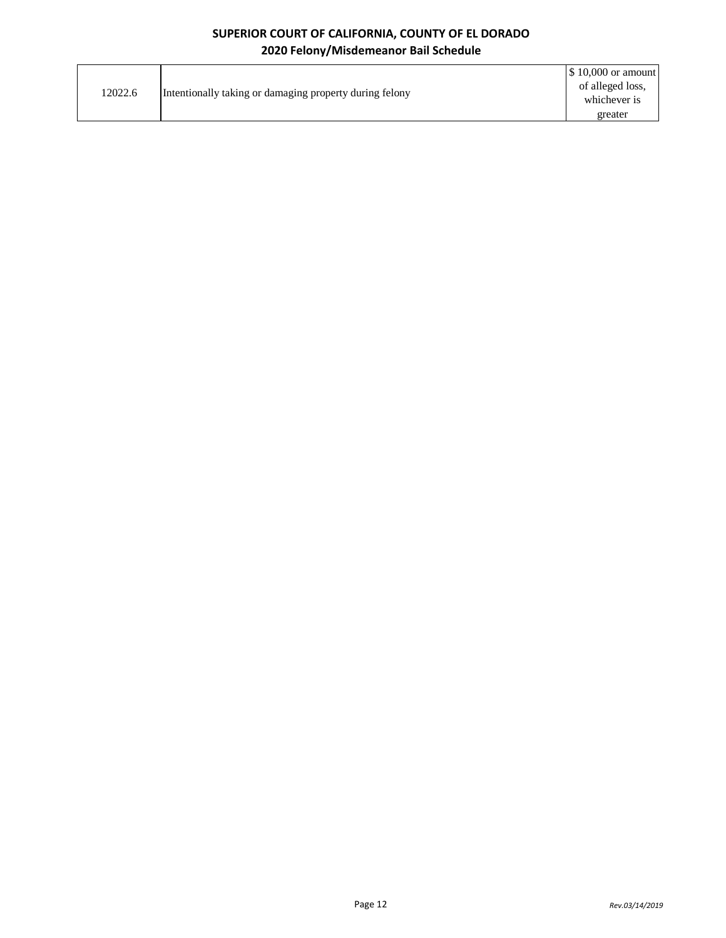| 12022.6 | Intentionally taking or damaging property during felony | $\$\,10,000$ or amount |
|---------|---------------------------------------------------------|------------------------|
|         |                                                         | of alleged loss,       |
|         |                                                         | whichever is           |
|         |                                                         | greater                |
|         |                                                         |                        |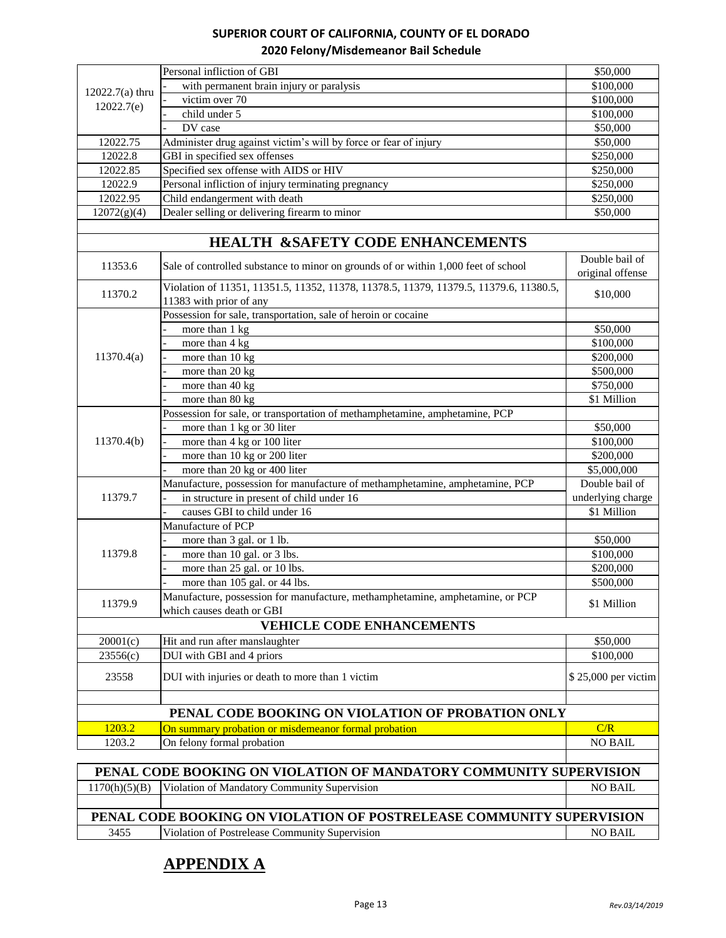|                                                                    | Personal infliction of GBI                                                                                       | \$50,000                           |
|--------------------------------------------------------------------|------------------------------------------------------------------------------------------------------------------|------------------------------------|
| 12022.7(a) thru<br>12022.7(e)                                      | with permanent brain injury or paralysis                                                                         | \$100,000                          |
|                                                                    | victim over 70                                                                                                   | \$100,000                          |
|                                                                    | child under 5                                                                                                    | \$100,000                          |
|                                                                    | DV case                                                                                                          | \$50,000                           |
| 12022.75                                                           | Administer drug against victim's will by force or fear of injury                                                 | \$50,000                           |
| 12022.8                                                            | GBI in specified sex offenses                                                                                    | \$250,000                          |
| 12022.85                                                           | Specified sex offense with AIDS or HIV                                                                           | \$250,000                          |
| 12022.9                                                            | Personal infliction of injury terminating pregnancy                                                              | \$250,000                          |
| 12022.95                                                           | Child endangerment with death                                                                                    | \$250,000                          |
| 12072(g)(4)                                                        | Dealer selling or delivering firearm to minor                                                                    | \$50,000                           |
|                                                                    |                                                                                                                  |                                    |
|                                                                    | <b>HEALTH &amp;SAFETY CODE ENHANCEMENTS</b>                                                                      |                                    |
| 11353.6                                                            | Sale of controlled substance to minor on grounds of or within 1,000 feet of school                               | Double bail of<br>original offense |
| 11370.2                                                            | Violation of 11351, 11351.5, 11352, 11378, 11378.5, 11379, 11379.5, 11379.6, 11380.5,<br>11383 with prior of any | \$10,000                           |
|                                                                    | Possession for sale, transportation, sale of heroin or cocaine                                                   |                                    |
|                                                                    | more than 1 kg                                                                                                   | \$50,000                           |
|                                                                    | more than 4 kg                                                                                                   | \$100,000                          |
| 11370.4(a)                                                         | more than 10 kg                                                                                                  | \$200,000                          |
|                                                                    | more than 20 kg                                                                                                  | \$500,000                          |
|                                                                    | more than 40 kg                                                                                                  | \$750,000                          |
|                                                                    | more than 80 kg                                                                                                  | \$1 Million                        |
|                                                                    | Possession for sale, or transportation of methamphetamine, amphetamine, PCP                                      |                                    |
|                                                                    | more than 1 kg or 30 liter                                                                                       | \$50,000                           |
| 11370.4(b)                                                         | more than 4 kg or 100 liter                                                                                      | \$100,000                          |
|                                                                    | more than 10 kg or 200 liter                                                                                     | \$200,000                          |
|                                                                    | more than 20 kg or 400 liter                                                                                     | \$5,000,000                        |
|                                                                    | Manufacture, possession for manufacture of methamphetamine, amphetamine, PCP                                     | Double bail of                     |
| 11379.7                                                            | in structure in present of child under 16                                                                        | underlying charge                  |
|                                                                    | causes GBI to child under 16                                                                                     | \$1 Million                        |
|                                                                    | Manufacture of PCP                                                                                               |                                    |
|                                                                    | more than 3 gal. or 1 lb.                                                                                        | \$50,000                           |
| 11379.8                                                            | more than 10 gal. or 3 lbs.                                                                                      | \$100,000                          |
|                                                                    | more than 25 gal. or 10 lbs.                                                                                     | \$200,000                          |
|                                                                    | more than 105 gal. or 44 lbs.                                                                                    | \$500,000                          |
| 11379.9                                                            | Manufacture, possession for manufacture, methamphetamine, amphetamine, or PCP                                    | \$1 Million                        |
|                                                                    | which causes death or GBI                                                                                        |                                    |
|                                                                    | <b>VEHICLE CODE ENHANCEMENTS</b>                                                                                 |                                    |
| 20001(c)                                                           | Hit and run after manslaughter                                                                                   | \$50,000                           |
| 23556(c)                                                           | DUI with GBI and 4 priors                                                                                        | \$100,000                          |
| 23558                                                              | DUI with injuries or death to more than 1 victim                                                                 | \$25,000 per victim                |
|                                                                    |                                                                                                                  |                                    |
|                                                                    | PENAL CODE BOOKING ON VIOLATION OF PROBATION ONLY                                                                |                                    |
| 1203.2                                                             | On summary probation or misdemeanor formal probation                                                             | C/R                                |
| 1203.2                                                             | On felony formal probation                                                                                       | <b>NO BAIL</b>                     |
| PENAL CODE BOOKING ON VIOLATION OF MANDATORY COMMUNITY SUPERVISION |                                                                                                                  |                                    |
| 1170(h)(5)(B)                                                      | Violation of Mandatory Community Supervision                                                                     | <b>NO BAIL</b>                     |
|                                                                    |                                                                                                                  |                                    |
|                                                                    | PENAL CODE BOOKING ON VIOLATION OF POSTRELEASE COMMUNITY SUPERVISION                                             |                                    |

3455 Violation of Postrelease Community Supervision NO BAIL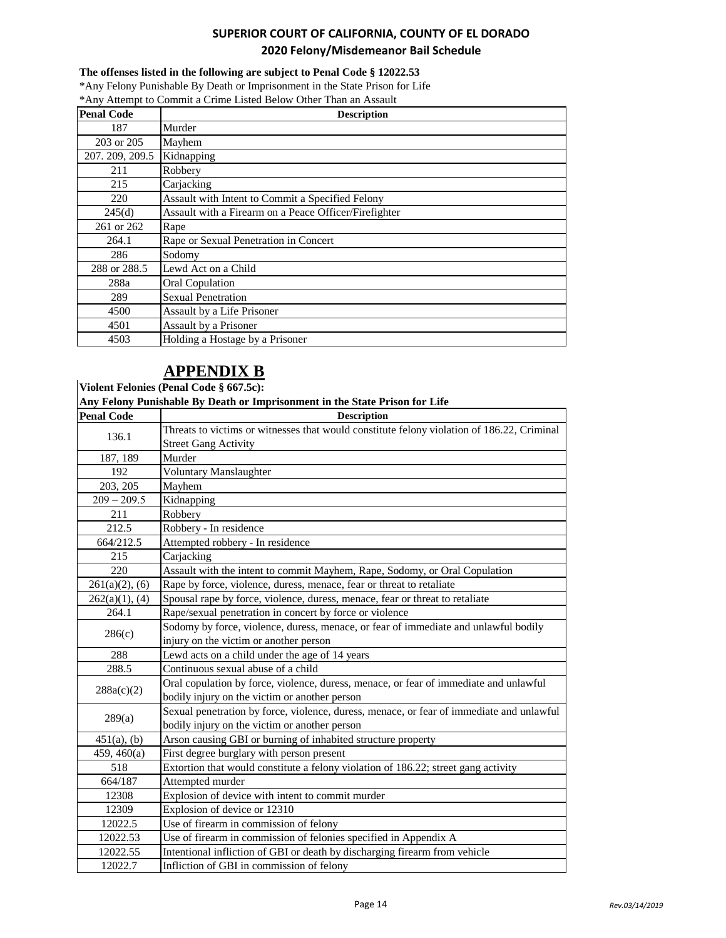#### **The offenses listed in the following are subject to Penal Code § 12022.53**

\*Any Felony Punishable By Death or Imprisonment in the State Prison for Life \*Any Attempt to Commit a Crime Listed Below Other Than an Assault

| <b>Penal Code</b> | <b>Description</b>                                    |
|-------------------|-------------------------------------------------------|
| 187               | Murder                                                |
| 203 or 205        | Mayhem                                                |
| 207. 209, 209.5   | Kidnapping                                            |
| 211               | Robbery                                               |
| 215               | Carjacking                                            |
| 220               | Assault with Intent to Commit a Specified Felony      |
| 245(d)            | Assault with a Firearm on a Peace Officer/Firefighter |
| 261 or 262        | Rape                                                  |
| 264.1             | Rape or Sexual Penetration in Concert                 |
| 286               | Sodomy                                                |
| 288 or 288.5      | Lewd Act on a Child                                   |
| 288a              | <b>Oral Copulation</b>                                |
| 289               | <b>Sexual Penetration</b>                             |
| 4500              | Assault by a Life Prisoner                            |
| 4501              | Assault by a Prisoner                                 |
| 4503              | Holding a Hostage by a Prisoner                       |

# **APPENDIX B**

**Violent Felonies (Penal Code § 667.5c):**

**Any Felony Punishable By Death or Imprisonment in the State Prison for Life**

| <b>Penal Code</b> | <b>Description</b>                                                                         |  |
|-------------------|--------------------------------------------------------------------------------------------|--|
|                   | Threats to victims or witnesses that would constitute felony violation of 186.22, Criminal |  |
| 136.1             | <b>Street Gang Activity</b>                                                                |  |
| 187, 189          | Murder                                                                                     |  |
| 192               | <b>Voluntary Manslaughter</b>                                                              |  |
| 203, 205          | Mayhem                                                                                     |  |
| $209 - 209.5$     | Kidnapping                                                                                 |  |
| 211               | Robbery                                                                                    |  |
| 212.5             | Robbery - In residence                                                                     |  |
| 664/212.5         | Attempted robbery - In residence                                                           |  |
| 215               | Carjacking                                                                                 |  |
| 220               | Assault with the intent to commit Mayhem, Rape, Sodomy, or Oral Copulation                 |  |
| $261(a)(2)$ , (6) | Rape by force, violence, duress, menace, fear or threat to retaliate                       |  |
| $262(a)(1)$ , (4) | Spousal rape by force, violence, duress, menace, fear or threat to retaliate               |  |
| 264.1             | Rape/sexual penetration in concert by force or violence                                    |  |
|                   | Sodomy by force, violence, duress, menace, or fear of immediate and unlawful bodily        |  |
| 286(c)            | injury on the victim or another person                                                     |  |
| 288               | Lewd acts on a child under the age of 14 years                                             |  |
| 288.5             | Continuous sexual abuse of a child                                                         |  |
| 288a(c)(2)        | Oral copulation by force, violence, duress, menace, or fear of immediate and unlawful      |  |
|                   | bodily injury on the victim or another person                                              |  |
|                   | Sexual penetration by force, violence, duress, menace, or fear of immediate and unlawful   |  |
| 289(a)            | bodily injury on the victim or another person                                              |  |
| $451(a)$ , (b)    | Arson causing GBI or burning of inhabited structure property                               |  |
| 459, 460(a)       | First degree burglary with person present                                                  |  |
| 518               | Extortion that would constitute a felony violation of 186.22; street gang activity         |  |
| 664/187           | Attempted murder                                                                           |  |
| 12308             | Explosion of device with intent to commit murder                                           |  |
| 12309             | Explosion of device or 12310                                                               |  |
| 12022.5           | Use of firearm in commission of felony                                                     |  |
| 12022.53          | Use of firearm in commission of felonies specified in Appendix A                           |  |
| 12022.55          | Intentional infliction of GBI or death by discharging firearm from vehicle                 |  |
| 12022.7           | Infliction of GBI in commission of felony                                                  |  |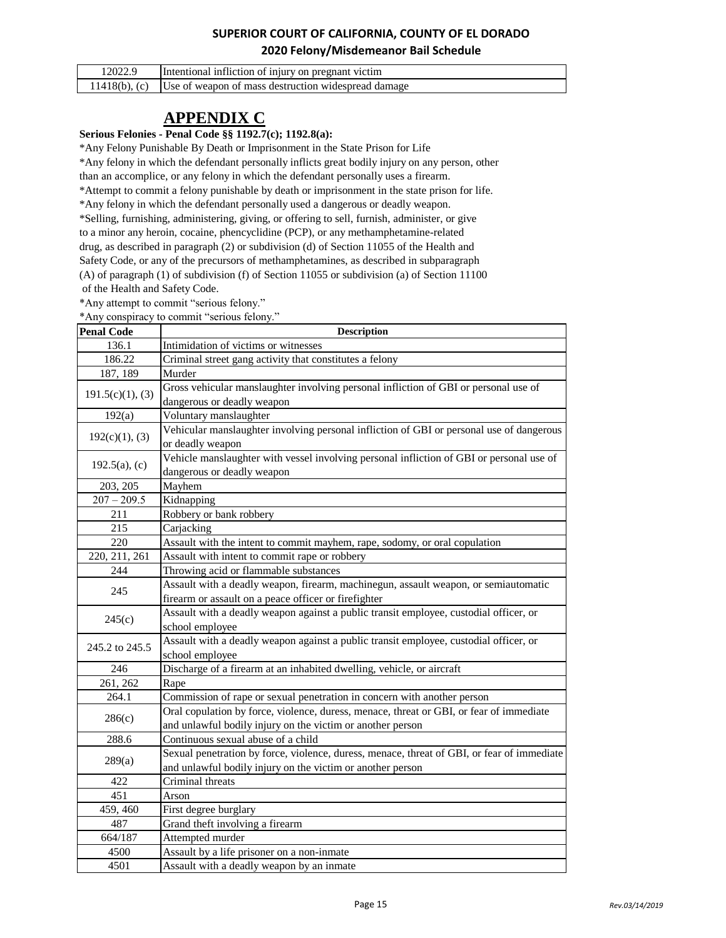| 12022.9 | Intentional infliction of injury on pregnant victim                  |
|---------|----------------------------------------------------------------------|
|         | $11418(b)$ , (c) Use of weapon of mass destruction widespread damage |

# **APPENDIX C**

**Serious Felonies - Penal Code §§ 1192.7(c); 1192.8(a):**

\*Any Felony Punishable By Death or Imprisonment in the State Prison for Life \*Any felony in which the defendant personally inflicts great bodily injury on any person, other than an accomplice, or any felony in which the defendant personally uses a firearm. \*Attempt to commit a felony punishable by death or imprisonment in the state prison for life. \*Any felony in which the defendant personally used a dangerous or deadly weapon. \*Selling, furnishing, administering, giving, or offering to sell, furnish, administer, or give to a minor any heroin, cocaine, phencyclidine (PCP), or any methamphetamine-related drug, as described in paragraph (2) or subdivision (d) of Section 11055 of the Health and Safety Code, or any of the precursors of methamphetamines, as described in subparagraph (A) of paragraph (1) of subdivision (f) of Section 11055 or subdivision (a) of Section 11100 of the Health and Safety Code.

\*Any attempt to commit "serious felony."

\*Any conspiracy to commit "serious felony."

| <b>Penal Code</b> | <b>Description</b>                                                                         |
|-------------------|--------------------------------------------------------------------------------------------|
| 136.1             | Intimidation of victims or witnesses                                                       |
| 186.22            | Criminal street gang activity that constitutes a felony                                    |
| 187, 189          | Murder                                                                                     |
|                   | Gross vehicular manslaughter involving personal infliction of GBI or personal use of       |
| 191.5(c)(1), (3)  | dangerous or deadly weapon                                                                 |
| 192(a)            | Voluntary manslaughter                                                                     |
| 192(c)(1), (3)    | Vehicular manslaughter involving personal infliction of GBI or personal use of dangerous   |
|                   | or deadly weapon                                                                           |
|                   | Vehicle manslaughter with vessel involving personal infliction of GBI or personal use of   |
| $192.5(a)$ , (c)  | dangerous or deadly weapon                                                                 |
| 203, 205          | Mayhem                                                                                     |
| $207 - 209.5$     | Kidnapping                                                                                 |
| 211               | Robbery or bank robbery                                                                    |
| 215               | Carjacking                                                                                 |
| 220               | Assault with the intent to commit mayhem, rape, sodomy, or oral copulation                 |
| 220, 211, 261     | Assault with intent to commit rape or robbery                                              |
| 244               | Throwing acid or flammable substances                                                      |
|                   | Assault with a deadly weapon, firearm, machinegun, assault weapon, or semiautomatic        |
| 245               | firearm or assault on a peace officer or firefighter                                       |
|                   | Assault with a deadly weapon against a public transit employee, custodial officer, or      |
| 245(c)            | school employee                                                                            |
|                   | Assault with a deadly weapon against a public transit employee, custodial officer, or      |
| 245.2 to 245.5    | school employee                                                                            |
| 246               | Discharge of a firearm at an inhabited dwelling, vehicle, or aircraft                      |
| 261, 262          | Rape                                                                                       |
| 264.1             | Commission of rape or sexual penetration in concern with another person                    |
|                   | Oral copulation by force, violence, duress, menace, threat or GBI, or fear of immediate    |
| 286(c)            | and unlawful bodily injury on the victim or another person                                 |
| 288.6             | Continuous sexual abuse of a child                                                         |
|                   | Sexual penetration by force, violence, duress, menace, threat of GBI, or fear of immediate |
| 289(a)            | and unlawful bodily injury on the victim or another person                                 |
| 422               | Criminal threats                                                                           |
| 451               | Arson                                                                                      |
| 459, 460          | First degree burglary                                                                      |
| 487               | Grand theft involving a firearm                                                            |
| 664/187           | Attempted murder                                                                           |
| 4500              | Assault by a life prisoner on a non-inmate                                                 |
| 4501              | Assault with a deadly weapon by an inmate                                                  |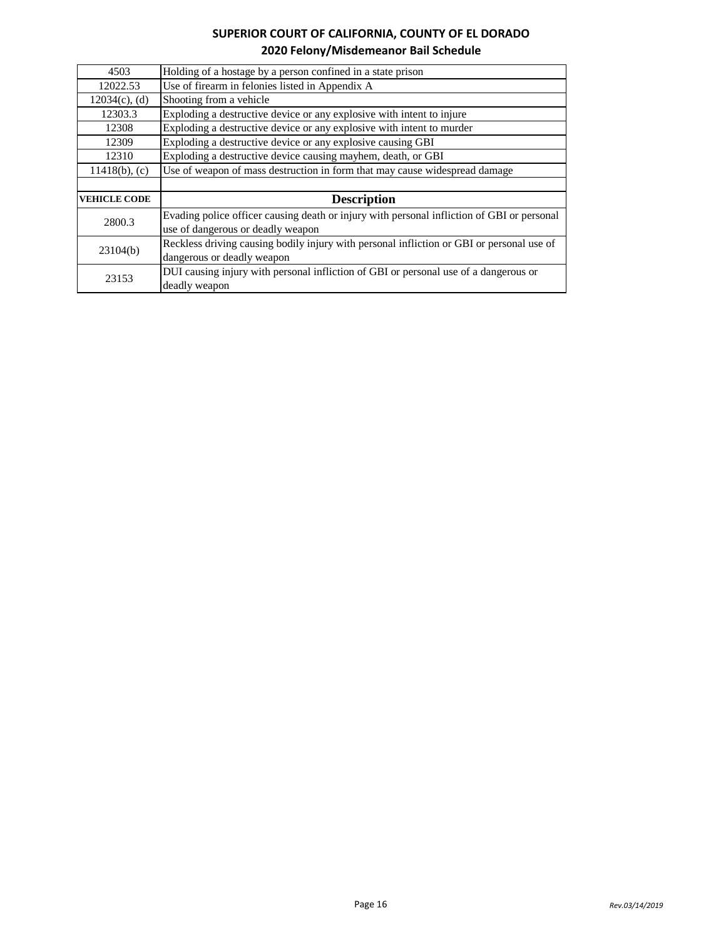| 4503                | Holding of a hostage by a person confined in a state prison                                |
|---------------------|--------------------------------------------------------------------------------------------|
| 12022.53            | Use of firearm in felonies listed in Appendix A                                            |
| $12034(c)$ , (d)    | Shooting from a vehicle                                                                    |
| 12303.3             | Exploding a destructive device or any explosive with intent to injure                      |
| 12308               | Exploding a destructive device or any explosive with intent to murder                      |
| 12309               | Exploding a destructive device or any explosive causing GBI                                |
| 12310               | Exploding a destructive device causing mayhem, death, or GBI                               |
| $11418(b)$ , (c)    | Use of weapon of mass destruction in form that may cause widespread damage                 |
|                     |                                                                                            |
| <b>VEHICLE CODE</b> | <b>Description</b>                                                                         |
| 2800.3              | Evading police officer causing death or injury with personal infliction of GBI or personal |
|                     | use of dangerous or deadly weapon                                                          |
|                     |                                                                                            |
|                     | Reckless driving causing bodily injury with personal infliction or GBI or personal use of  |
| 23104(b)            | dangerous or deadly weapon                                                                 |
| 23153               | DUI causing injury with personal infliction of GBI or personal use of a dangerous or       |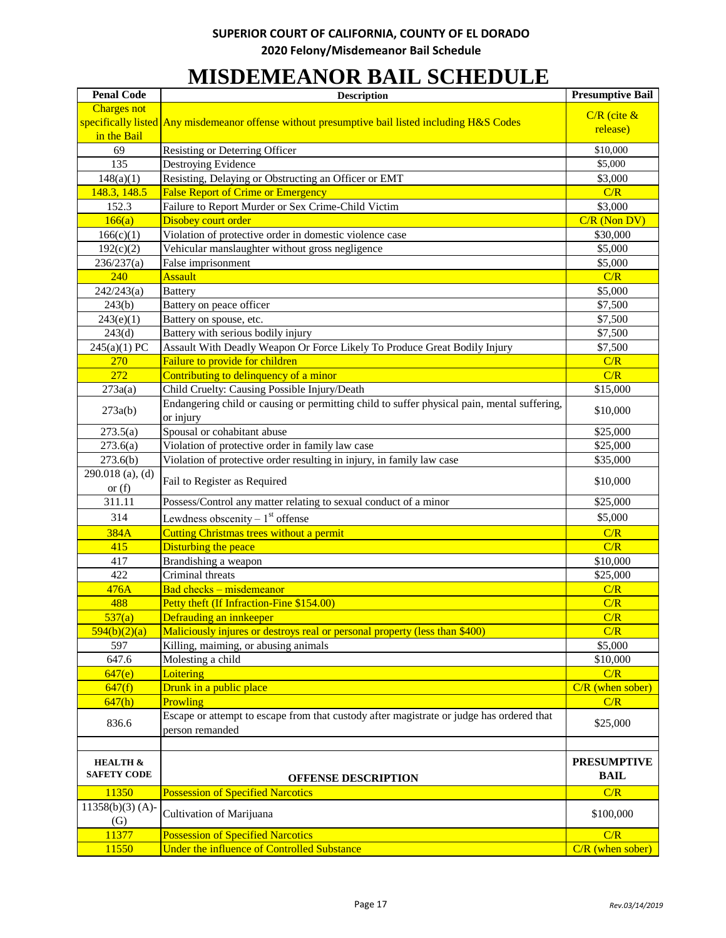# **MISDEMEANOR BAIL SCHEDULE**

| <b>Penal Code</b>          | <b>Description</b>                                                                              | <b>Presumptive Bail</b> |
|----------------------------|-------------------------------------------------------------------------------------------------|-------------------------|
| <b>Charges not</b>         |                                                                                                 | $C/R$ (cite $\&$        |
|                            | specifically listed Any misdemeanor offense without presumptive bail listed including H&S Codes | release)                |
| in the Bail                |                                                                                                 |                         |
| 69                         | <b>Resisting or Deterring Officer</b>                                                           | \$10,000                |
| 135                        | Destroying Evidence                                                                             | \$5,000                 |
| 148(a)(1)                  | Resisting, Delaying or Obstructing an Officer or EMT                                            | \$3,000                 |
| 148.3, 148.5               | <b>False Report of Crime or Emergency</b>                                                       | C/R                     |
| 152.3                      | Failure to Report Murder or Sex Crime-Child Victim                                              | \$3,000                 |
| 166(a)                     | Disobey court order                                                                             | $C/R$ (Non DV)          |
| 166(c)(1)                  | Violation of protective order in domestic violence case                                         | \$30,000                |
| 192(c)(2)                  | Vehicular manslaughter without gross negligence                                                 | \$5,000                 |
| 236/237(a)                 | False imprisonment                                                                              | \$5,000                 |
| 240                        | <b>Assault</b>                                                                                  | C/R                     |
| 242/243(a)                 | <b>Battery</b>                                                                                  | \$5,000                 |
| 243(b)                     | Battery on peace officer                                                                        | \$7,500                 |
| 243(e)(1)                  | Battery on spouse, etc.                                                                         | \$7,500                 |
| 243(d)                     | Battery with serious bodily injury                                                              | \$7,500                 |
| 245(a)(1) PC               | Assault With Deadly Weapon Or Force Likely To Produce Great Bodily Injury                       | \$7,500                 |
| 270                        | Failure to provide for children                                                                 | C/R                     |
| 272                        | Contributing to delinquency of a minor                                                          | C/R                     |
| 273a(a)                    | Child Cruelty: Causing Possible Injury/Death                                                    | \$15,000                |
| 273a(b)                    | Endangering child or causing or permitting child to suffer physical pain, mental suffering,     | \$10,000                |
|                            | or injury                                                                                       |                         |
| 273.5(a)                   | Spousal or cohabitant abuse                                                                     | \$25,000                |
| 273.6(a)                   | Violation of protective order in family law case                                                | \$25,000                |
| 273.6(b)                   | Violation of protective order resulting in injury, in family law case                           | \$35,000                |
| 290.018 (a), (d)           | Fail to Register as Required                                                                    | \$10,000                |
| or $(f)$                   |                                                                                                 |                         |
| 311.11                     | Possess/Control any matter relating to sexual conduct of a minor                                | \$25,000                |
| 314                        | Lewdness obscenity $-1$ <sup>st</sup> offense                                                   | \$5,000                 |
| 384A                       | <b>Cutting Christmas trees without a permit</b>                                                 | C/R                     |
| 415                        | Disturbing the peace                                                                            | C/R                     |
| 417                        | Brandishing a weapon                                                                            | \$10,000                |
| 422                        | Criminal threats                                                                                | \$25,000                |
| 476A                       | Bad checks - misdemeanor                                                                        | C/R                     |
| 488                        | Petty theft (If Infraction-Fine \$154.00)                                                       | C/R                     |
| $\overline{537(a)}$        | Defrauding an innkeeper                                                                         | C/R                     |
| 594(b)(2)(a)               | Maliciously injures or destroys real or personal property (less than \$400)                     | C/R                     |
| 597                        | Killing, maiming, or abusing animals                                                            | \$5,000                 |
| 647.6                      | Molesting a child                                                                               | \$10,000                |
| 647(e)                     | Loitering                                                                                       | C/R                     |
| 647(f)                     | Drunk in a public place                                                                         | $C/R$ (when sober)      |
| 647(h)                     | Prowling                                                                                        | C/R                     |
| 836.6                      | Escape or attempt to escape from that custody after magistrate or judge has ordered that        | \$25,000                |
|                            | person remanded                                                                                 |                         |
|                            |                                                                                                 |                         |
| <b>HEALTH &amp;</b>        |                                                                                                 | <b>PRESUMPTIVE</b>      |
| <b>SAFETY CODE</b>         | <b>OFFENSE DESCRIPTION</b>                                                                      | <b>BAIL</b>             |
| 11350                      | <b>Possession of Specified Narcotics</b>                                                        | C/R                     |
| $11358(b)(3) (A)$ -<br>(G) | Cultivation of Marijuana                                                                        | \$100,000               |
| 11377                      | <b>Possession of Specified Narcotics</b>                                                        | C/R                     |
| 11550                      | Under the influence of Controlled Substance                                                     | $C/R$ (when sober)      |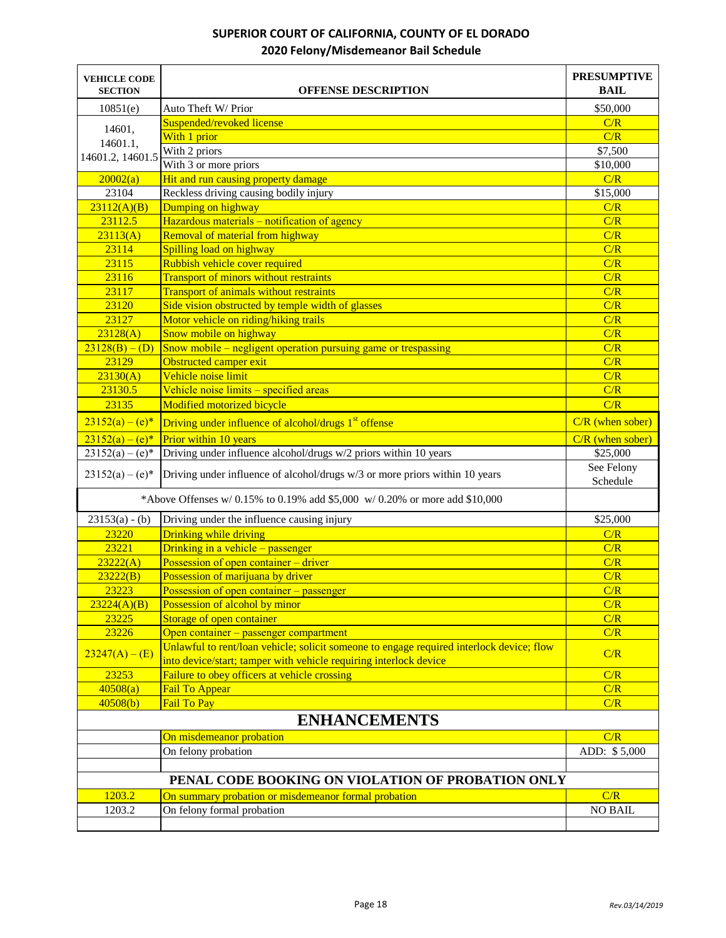| <b>VEHICLE CODE</b><br><b>SECTION</b>             | <b>OFFENSE DESCRIPTION</b>                                                                                                                                    | <b>PRESUMPTIVE</b><br><b>BAIL</b> |
|---------------------------------------------------|---------------------------------------------------------------------------------------------------------------------------------------------------------------|-----------------------------------|
| 10851(e)                                          | Auto Theft W/ Prior                                                                                                                                           | \$50,000                          |
|                                                   | Suspended/revoked license                                                                                                                                     | C/R                               |
| 14601,                                            | With 1 prior                                                                                                                                                  | C/R                               |
| 14601.1,                                          | With 2 priors                                                                                                                                                 | \$7,500                           |
| 14601.2, 14601.5                                  | With 3 or more priors                                                                                                                                         | \$10,000                          |
| 20002(a)                                          | Hit and run causing property damage                                                                                                                           | C/R                               |
| 23104                                             | Reckless driving causing bodily injury                                                                                                                        | \$15,000                          |
| 23112(A)(B)                                       | Dumping on highway                                                                                                                                            | C/R                               |
| 23112.5                                           | Hazardous materials – notification of agency                                                                                                                  | C/R                               |
| 23113(A)                                          | Removal of material from highway                                                                                                                              | C/R                               |
| 23114                                             | Spilling load on highway                                                                                                                                      | C/R                               |
| 23115                                             | Rubbish vehicle cover required                                                                                                                                | C/R                               |
| 23116                                             | <b>Transport of minors without restraints</b>                                                                                                                 | C/R                               |
| 23117                                             | <b>Transport of animals without restraints</b>                                                                                                                | C/R                               |
| 23120                                             | Side vision obstructed by temple width of glasses                                                                                                             | C/R                               |
| 23127                                             | Motor vehicle on riding/hiking trails                                                                                                                         | C/R                               |
| 23128(A)                                          | Snow mobile on highway                                                                                                                                        | C/R                               |
| $23128(B) - (D)$                                  | Snow mobile $-$ negligent operation pursuing game or trespassing                                                                                              | C/R                               |
| 23129                                             | Obstructed camper exit                                                                                                                                        | C/R                               |
| 23130(A)                                          | Vehicle noise limit                                                                                                                                           | C/R                               |
| 23130.5                                           | Vehicle noise limits – specified areas                                                                                                                        | C/R                               |
| 23135                                             | Modified motorized bicycle                                                                                                                                    | C/R                               |
| $23152(a) - (e)^*$                                | Driving under influence of alcohol/drugs 1 <sup>st</sup> offense                                                                                              | $C/R$ (when sober)                |
| $23152(a) - (e)^*$                                | Prior within 10 years                                                                                                                                         | $C/R$ (when sober)                |
| $23152(a) - (e)*$                                 | Driving under influence alcohol/drugs w/2 priors within 10 years                                                                                              | \$25,000                          |
| $23152(a) - (e)^*$                                | Driving under influence of alcohol/drugs w/3 or more priors within 10 years                                                                                   | See Felony<br>Schedule            |
|                                                   | *Above Offenses w/ 0.15% to 0.19% add \$5,000 w/ 0.20% or more add \$10,000                                                                                   |                                   |
| $23153(a) - (b)$                                  | Driving under the influence causing injury                                                                                                                    | \$25,000                          |
| 23220                                             | Drinking while driving                                                                                                                                        | C/R                               |
| 23221                                             | Drinking in a vehicle - passenger                                                                                                                             | C/R                               |
| 23222(A)                                          | Possession of open container – driver                                                                                                                         | C/R                               |
| 23222(B)                                          | Possession of marijuana by driver                                                                                                                             | C/R                               |
| 23223                                             | Possession of open container – passenger                                                                                                                      | C/R                               |
| 23224(A)(B)                                       | Possession of alcohol by minor                                                                                                                                | C/R                               |
| 23225                                             | Storage of open container                                                                                                                                     | C/R                               |
| 23226                                             | Open container – passenger compartment                                                                                                                        | C/R                               |
| $23247(A) - (E)$                                  | Unlawful to rent/loan vehicle; solicit someone to engage required interlock device; flow<br>into device/start; tamper with vehicle requiring interlock device | C/R                               |
| 23253                                             | <b>Failure to obey officers at vehicle crossing</b>                                                                                                           | C/R                               |
| 40508(a)                                          | Fail To Appear                                                                                                                                                | C/R                               |
| 40508(b)                                          | Fail To Pay                                                                                                                                                   | C/R                               |
| <b>ENHANCEMENTS</b>                               |                                                                                                                                                               |                                   |
|                                                   | On misdemeanor probation                                                                                                                                      | C/R                               |
|                                                   | On felony probation                                                                                                                                           | ADD: \$5,000                      |
|                                                   |                                                                                                                                                               |                                   |
| PENAL CODE BOOKING ON VIOLATION OF PROBATION ONLY |                                                                                                                                                               |                                   |
| 1203.2                                            | On summary probation or misdemeanor formal probation                                                                                                          | C/R                               |
| 1203.2                                            | On felony formal probation                                                                                                                                    | <b>NO BAIL</b>                    |
|                                                   |                                                                                                                                                               |                                   |